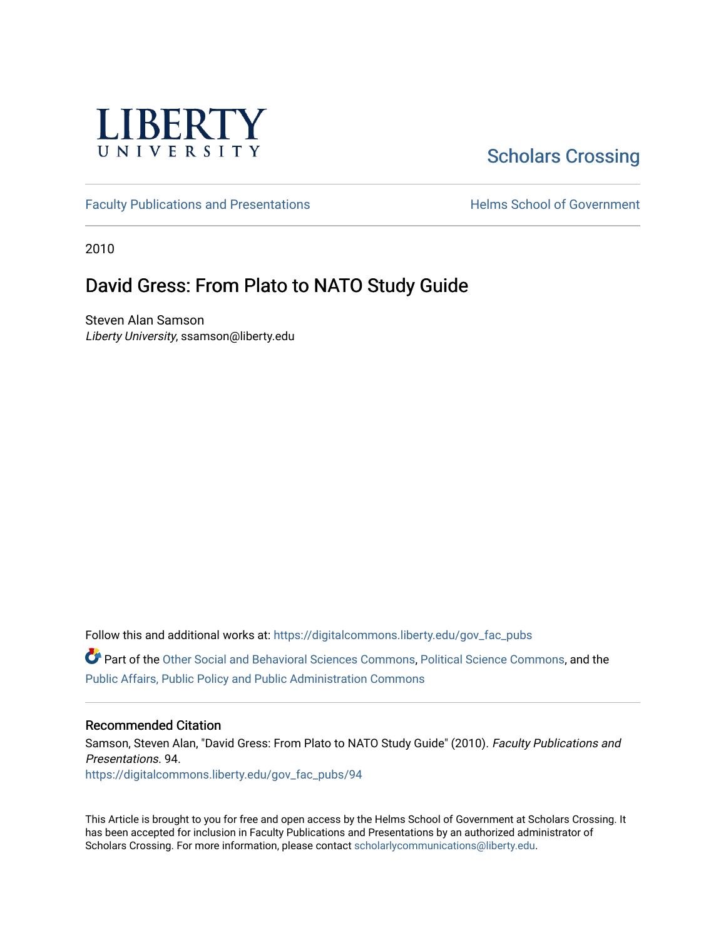

# [Scholars Crossing](https://digitalcommons.liberty.edu/)

[Faculty Publications and Presentations](https://digitalcommons.liberty.edu/gov_fac_pubs) **Exercise School of Government** 

2010

# David Gress: From Plato to NATO Study Guide

Steven Alan Samson Liberty University, ssamson@liberty.edu

Follow this and additional works at: [https://digitalcommons.liberty.edu/gov\\_fac\\_pubs](https://digitalcommons.liberty.edu/gov_fac_pubs?utm_source=digitalcommons.liberty.edu%2Fgov_fac_pubs%2F94&utm_medium=PDF&utm_campaign=PDFCoverPages)

Part of the [Other Social and Behavioral Sciences Commons](http://network.bepress.com/hgg/discipline/437?utm_source=digitalcommons.liberty.edu%2Fgov_fac_pubs%2F94&utm_medium=PDF&utm_campaign=PDFCoverPages), [Political Science Commons](http://network.bepress.com/hgg/discipline/386?utm_source=digitalcommons.liberty.edu%2Fgov_fac_pubs%2F94&utm_medium=PDF&utm_campaign=PDFCoverPages), and the [Public Affairs, Public Policy and Public Administration Commons](http://network.bepress.com/hgg/discipline/393?utm_source=digitalcommons.liberty.edu%2Fgov_fac_pubs%2F94&utm_medium=PDF&utm_campaign=PDFCoverPages)

#### Recommended Citation

Samson, Steven Alan, "David Gress: From Plato to NATO Study Guide" (2010). Faculty Publications and Presentations. 94. [https://digitalcommons.liberty.edu/gov\\_fac\\_pubs/94](https://digitalcommons.liberty.edu/gov_fac_pubs/94?utm_source=digitalcommons.liberty.edu%2Fgov_fac_pubs%2F94&utm_medium=PDF&utm_campaign=PDFCoverPages) 

This Article is brought to you for free and open access by the Helms School of Government at Scholars Crossing. It has been accepted for inclusion in Faculty Publications and Presentations by an authorized administrator of Scholars Crossing. For more information, please contact [scholarlycommunications@liberty.edu.](mailto:scholarlycommunications@liberty.edu)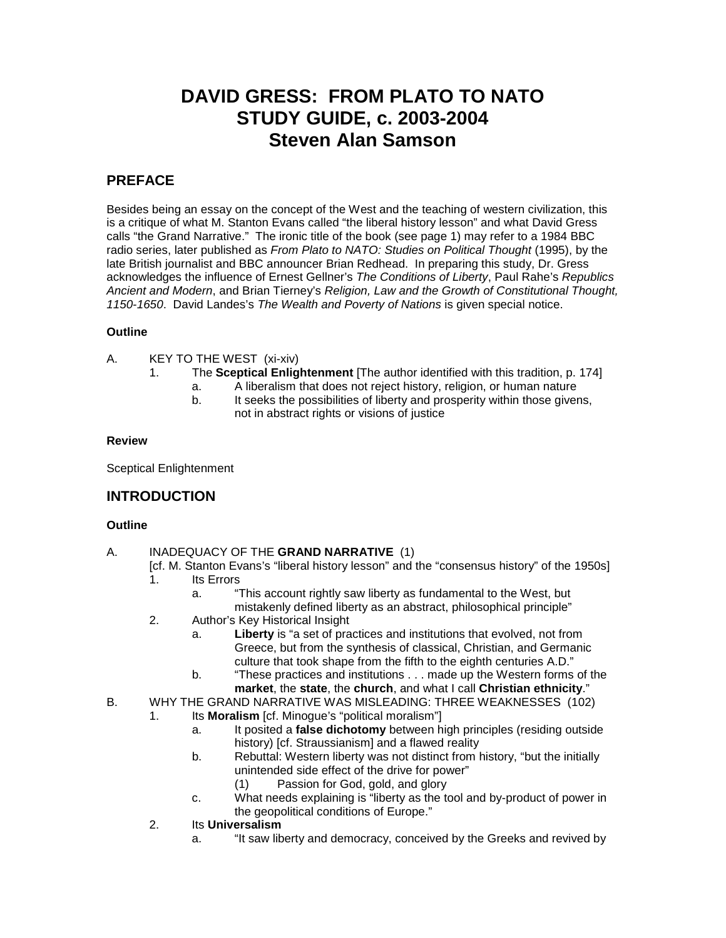# **DAVID GRESS: FROM PLATO TO NATO STUDY GUIDE, c. 2003-2004 Steven Alan Samson**

# **PREFACE**

Besides being an essay on the concept of the West and the teaching of western civilization, this is a critique of what M. Stanton Evans called "the liberal history lesson" and what David Gress calls "the Grand Narrative." The ironic title of the book (see page 1) may refer to a 1984 BBC radio series, later published as *From Plato to NATO: Studies on Political Thought* (1995), by the late British journalist and BBC announcer Brian Redhead. In preparing this study, Dr. Gress acknowledges the influence of Ernest Gellner's *The Conditions of Liberty*, Paul Rahe's *Republics Ancient and Modern*, and Brian Tierney's *Religion, Law and the Growth of Constitutional Thought, 1150-1650*. David Landes's *The Wealth and Poverty of Nations* is given special notice.

#### **Outline**

- A. KEY TO THE WEST (xi-xiv)
	- 1. The **Sceptical Enlightenment** [The author identified with this tradition, p. 174]
		- a. A liberalism that does not reject history, religion, or human nature
		- b. It seeks the possibilities of liberty and prosperity within those givens, not in abstract rights or visions of justice

#### **Review**

Sceptical Enlightenment

## **INTRODUCTION**

#### **Outline**

#### A. INADEQUACY OF THE **GRAND NARRATIVE** (1)

- [cf. M. Stanton Evans's "liberal history lesson" and the "consensus history" of the 1950s] Its Errors
	- a. "This account rightly saw liberty as fundamental to the West, but mistakenly defined liberty as an abstract, philosophical principle"
- 2. Author's Key Historical Insight
	- a. **Liberty** is "a set of practices and institutions that evolved, not from Greece, but from the synthesis of classical, Christian, and Germanic culture that took shape from the fifth to the eighth centuries A.D."
	- b. "These practices and institutions . . . made up the Western forms of the **market**, the **state**, the **church**, and what I call **Christian ethnicity**."
- B. WHY THE GRAND NARRATIVE WAS MISLEADING: THREE WEAKNESSES (102)
	- 1. Its **Moralism** [cf. Minogue's "political moralism"]
		- a. It posited a **false dichotomy** between high principles (residing outside history) [cf. Straussianism] and a flawed reality
		- b. Rebuttal: Western liberty was not distinct from history, "but the initially unintended side effect of the drive for power"
			- (1) Passion for God, gold, and glory
		- c. What needs explaining is "liberty as the tool and by-product of power in the geopolitical conditions of Europe."
		- 2. Its **Universalism**
			- a. "It saw liberty and democracy, conceived by the Greeks and revived by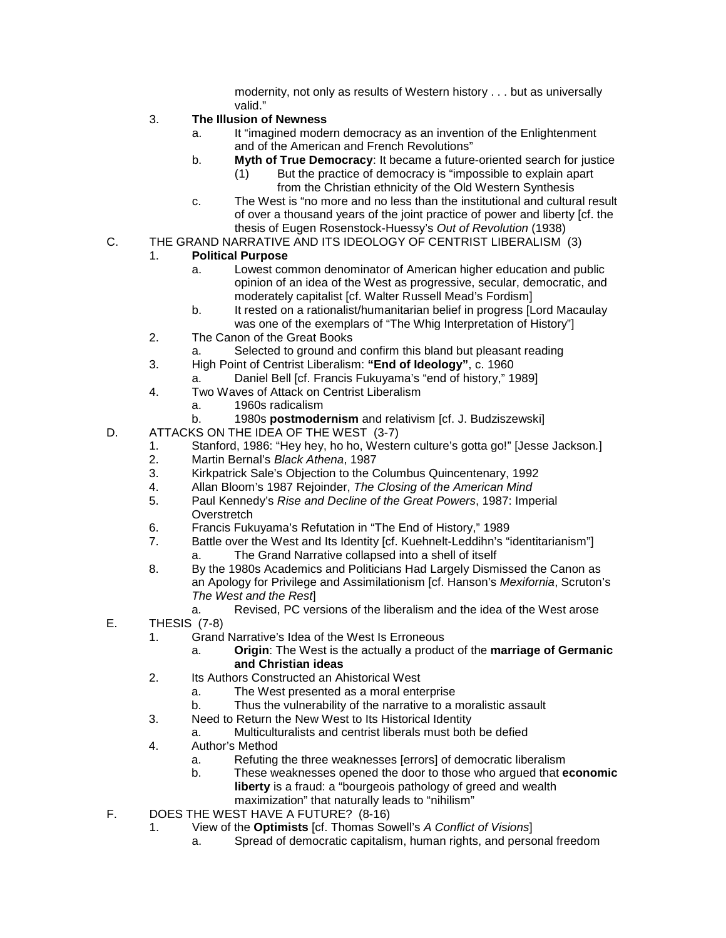modernity, not only as results of Western history . . . but as universally valid."

- 3. **The Illusion of Newness**
	- a. It "imagined modern democracy as an invention of the Enlightenment and of the American and French Revolutions"
	- b. **Myth of True Democracy**: It became a future-oriented search for justice
		- (1) But the practice of democracy is "impossible to explain apart from the Christian ethnicity of the Old Western Synthesis
	- c. The West is "no more and no less than the institutional and cultural result of over a thousand years of the joint practice of power and liberty [cf. the thesis of Eugen Rosenstock-Huessy's *Out of Revolution* (1938)
- C. THE GRAND NARRATIVE AND ITS IDEOLOGY OF CENTRIST LIBERALISM (3)

#### 1. **Political Purpose**

- a. Lowest common denominator of American higher education and public opinion of an idea of the West as progressive, secular, democratic, and moderately capitalist [cf. Walter Russell Mead's Fordism]
- b. It rested on a rationalist/humanitarian belief in progress [Lord Macaulay was one of the exemplars of "The Whig Interpretation of History"]
- 2. The Canon of the Great Books
	- a. Selected to ground and confirm this bland but pleasant reading
- 3. High Point of Centrist Liberalism: **"End of Ideology"**, c. 1960
	- a. Daniel Bell [cf. Francis Fukuyama's "end of history," 1989]
- 4. Two Waves of Attack on Centrist Liberalism
	- a. 1960s radicalism
	- b. 1980s **postmodernism** and relativism [cf. J. Budziszewski]
- D. ATTACKS ON THE IDEA OF THE WEST (3-7)
	- 1. Stanford, 1986: "Hey hey, ho ho, Western culture's gotta go!" [Jesse Jackson*.*]
	- 2. Martin Bernal's *Black Athena*, 1987
	- 3. Kirkpatrick Sale's Objection to the Columbus Quincentenary, 1992
	- 4. Allan Bloom's 1987 Rejoinder, *The Closing of the American Mind*
	- 5. Paul Kennedy's *Rise and Decline of the Great Powers*, 1987: Imperial **Overstretch**
	- 6. Francis Fukuyama's Refutation in "The End of History," 1989
		- Battle over the West and Its Identity [cf. Kuehnelt-Leddihn's "identitarianism"]
			- a. The Grand Narrative collapsed into a shell of itself
	- 8. By the 1980s Academics and Politicians Had Largely Dismissed the Canon as an Apology for Privilege and Assimilationism [cf. Hanson's *Mexifornia*, Scruton's *The West and the Rest*]
		- a. Revised, PC versions of the liberalism and the idea of the West arose
- E. THESIS (7-8)
	- 1. Grand Narrative's Idea of the West Is Erroneous
		- a. **Origin**: The West is the actually a product of the **marriage of Germanic and Christian ideas**
	- 2. Its Authors Constructed an Ahistorical West
		- a. The West presented as a moral enterprise
		- b. Thus the vulnerability of the narrative to a moralistic assault
	- 3. Need to Return the New West to Its Historical Identity
		- a. Multiculturalists and centrist liberals must both be defied
	- 4. Author's Method
		- a. Refuting the three weaknesses [errors] of democratic liberalism
		- b. These weaknesses opened the door to those who argued that **economic liberty** is a fraud: a "bourgeois pathology of greed and wealth maximization" that naturally leads to "nihilism"
- F. DOES THE WEST HAVE A FUTURE? (8-16)
	- 1. View of the **Optimists** [cf. Thomas Sowell's *A Conflict of Visions*]
		- a. Spread of democratic capitalism, human rights, and personal freedom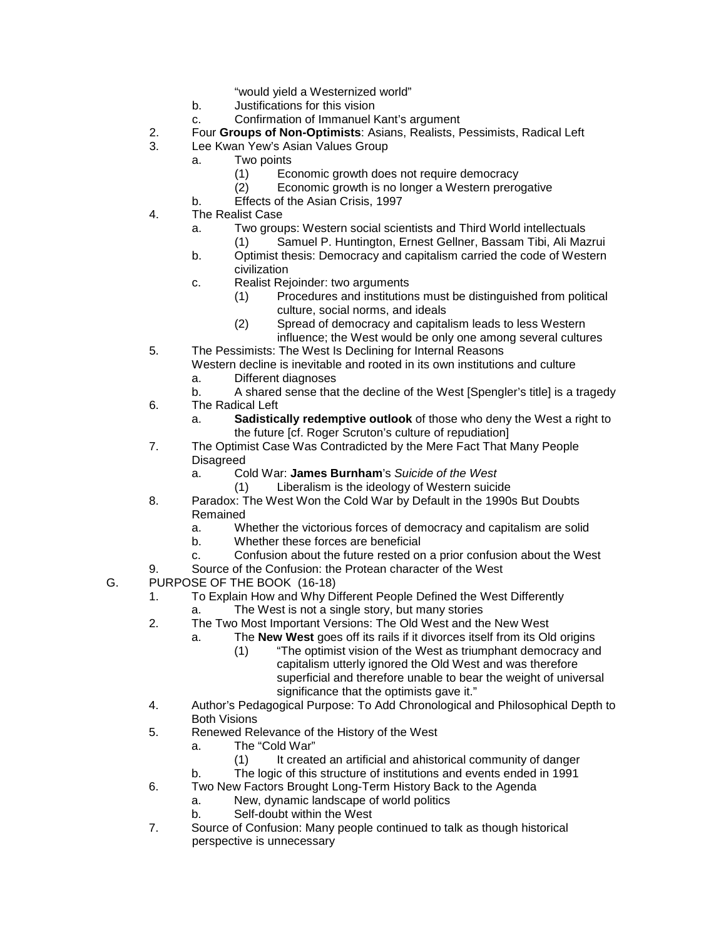"would yield a Westernized world"

- b. Justifications for this vision
- c. Confirmation of Immanuel Kant's argument
- 2. Four **Groups of Non-Optimists**: Asians, Realists, Pessimists, Radical Left
- 3. Lee Kwan Yew's Asian Values Group
	- a. Two points
		- (1) Economic growth does not require democracy
		- (2) Economic growth is no longer a Western prerogative
	- b. Effects of the Asian Crisis, 1997
- 4. The Realist Case
	- a. Two groups: Western social scientists and Third World intellectuals
	- (1) Samuel P. Huntington, Ernest Gellner, Bassam Tibi, Ali Mazrui b. Optimist thesis: Democracy and capitalism carried the code of Western
		- civilization
	- c. Realist Rejoinder: two arguments
		- (1) Procedures and institutions must be distinguished from political culture, social norms, and ideals
		- (2) Spread of democracy and capitalism leads to less Western influence; the West would be only one among several cultures
- 5. The Pessimists: The West Is Declining for Internal Reasons Western decline is inevitable and rooted in its own institutions and culture
	- a. Different diagnoses
- b. A shared sense that the decline of the West [Spengler's title] is a tragedy 6. The Radical Left
	- a. **Sadistically redemptive outlook** of those who deny the West a right to the future [cf. Roger Scruton's culture of repudiation]
- 7. The Optimist Case Was Contradicted by the Mere Fact That Many People **Disagreed** 
	- a. Cold War: **James Burnham**'s *Suicide of the West*
		- (1) Liberalism is the ideology of Western suicide
- 8. Paradox: The West Won the Cold War by Default in the 1990s But Doubts Remained
	- a. Whether the victorious forces of democracy and capitalism are solid
	- b. Whether these forces are beneficial
	- c. Confusion about the future rested on a prior confusion about the West
- 9. Source of the Confusion: the Protean character of the West
- G. PURPOSE OF THE BOOK (16-18)
	- 1. To Explain How and Why Different People Defined the West Differently
		- a. The West is not a single story, but many stories
	- 2. The Two Most Important Versions: The Old West and the New West
		- a. The **New West** goes off its rails if it divorces itself from its Old origins
			- (1) "The optimist vision of the West as triumphant democracy and capitalism utterly ignored the Old West and was therefore superficial and therefore unable to bear the weight of universal significance that the optimists gave it."
	- 4. Author's Pedagogical Purpose: To Add Chronological and Philosophical Depth to Both Visions
	- 5. Renewed Relevance of the History of the West
		- a. The "Cold War"
			- (1) It created an artificial and ahistorical community of danger
		- b. The logic of this structure of institutions and events ended in 1991
	- 6. Two New Factors Brought Long-Term History Back to the Agenda
		- a. New, dynamic landscape of world politics
		- b. Self-doubt within the West
	- 7. Source of Confusion: Many people continued to talk as though historical perspective is unnecessary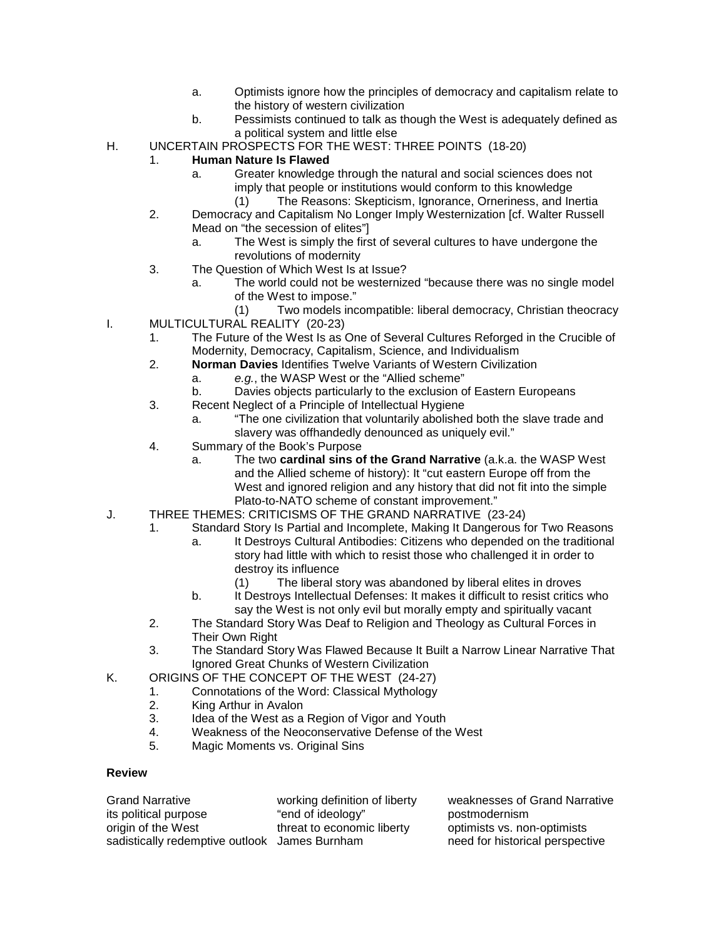- a. Optimists ignore how the principles of democracy and capitalism relate to the history of western civilization
- b. Pessimists continued to talk as though the West is adequately defined as a political system and little else
- H. UNCERTAIN PROSPECTS FOR THE WEST: THREE POINTS (18-20)

#### 1. **Human Nature Is Flawed**

- a. Greater knowledge through the natural and social sciences does not imply that people or institutions would conform to this knowledge
	- (1) The Reasons: Skepticism, Ignorance, Orneriness, and Inertia
- 2. Democracy and Capitalism No Longer Imply Westernization [cf. Walter Russell Mead on "the secession of elites"]
	- a. The West is simply the first of several cultures to have undergone the revolutions of modernity
- 3. The Question of Which West Is at Issue?
	- a. The world could not be westernized "because there was no single model of the West to impose."

(1) Two models incompatible: liberal democracy, Christian theocracy

- I. MULTICULTURAL REALITY (20-23)
	- 1. The Future of the West Is as One of Several Cultures Reforged in the Crucible of Modernity, Democracy, Capitalism, Science, and Individualism
	- 2. **Norman Davies** Identifies Twelve Variants of Western Civilization
		- a. *e.g.*, the WASP West or the "Allied scheme"
		- b. Davies objects particularly to the exclusion of Eastern Europeans
	- 3. Recent Neglect of a Principle of Intellectual Hygiene
		- a. "The one civilization that voluntarily abolished both the slave trade and slavery was offhandedly denounced as uniquely evil."
	- 4. Summary of the Book's Purpose
		- a. The two **cardinal sins of the Grand Narrative** (a.k.a. the WASP West and the Allied scheme of history): It "cut eastern Europe off from the West and ignored religion and any history that did not fit into the simple Plato-to-NATO scheme of constant improvement."
- J. THREE THEMES: CRITICISMS OF THE GRAND NARRATIVE (23-24)
	- 1. Standard Story Is Partial and Incomplete, Making It Dangerous for Two Reasons
		- a. It Destroys Cultural Antibodies: Citizens who depended on the traditional story had little with which to resist those who challenged it in order to destroy its influence
			- (1) The liberal story was abandoned by liberal elites in droves
		- b. It Destroys Intellectual Defenses: It makes it difficult to resist critics who say the West is not only evil but morally empty and spiritually vacant
	- 2. The Standard Story Was Deaf to Religion and Theology as Cultural Forces in Their Own Right
	- 3. The Standard Story Was Flawed Because It Built a Narrow Linear Narrative That Ignored Great Chunks of Western Civilization
- K. ORIGINS OF THE CONCEPT OF THE WEST (24-27)
	- 1. Connotations of the Word: Classical Mythology<br>2. King Arthur in Avalon
	- King Arthur in Avalon
	- 3. Idea of the West as a Region of Vigor and Youth
	- 4. Weakness of the Neoconservative Defense of the West<br>5. Magic Moments vs. Original Sins
	- Magic Moments vs. Original Sins

#### **Review**

| <b>Grand Narrative</b>                        | working definition of liberty | weaknesses of Grand Narrative   |
|-----------------------------------------------|-------------------------------|---------------------------------|
| its political purpose                         | "end of ideology"             | postmodernism                   |
| origin of the West                            | threat to economic liberty    | optimists vs. non-optimists     |
| sadistically redemptive outlook James Burnham |                               | need for historical perspective |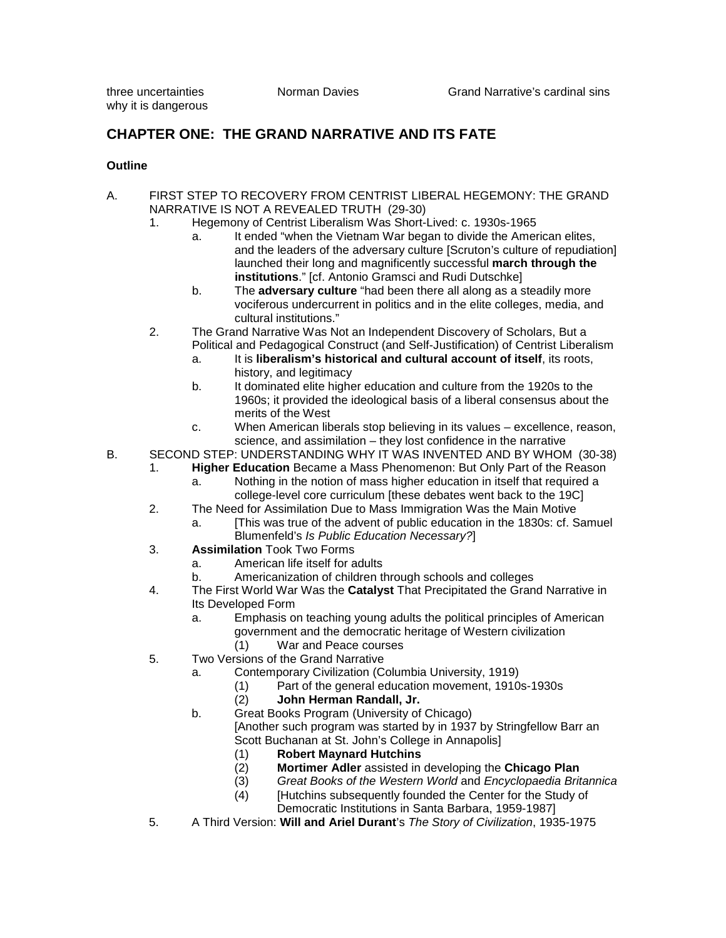# **CHAPTER ONE: THE GRAND NARRATIVE AND ITS FATE**

#### **Outline**

- A. FIRST STEP TO RECOVERY FROM CENTRIST LIBERAL HEGEMONY: THE GRAND NARRATIVE IS NOT A REVEALED TRUTH (29-30)
	- 1. Hegemony of Centrist Liberalism Was Short-Lived: c. 1930s-1965
		- a. It ended "when the Vietnam War began to divide the American elites, and the leaders of the adversary culture [Scruton's culture of repudiation] launched their long and magnificently successful **march through the institutions**." [cf. Antonio Gramsci and Rudi Dutschke]
		- b. The **adversary culture** "had been there all along as a steadily more vociferous undercurrent in politics and in the elite colleges, media, and cultural institutions."
	- 2. The Grand Narrative Was Not an Independent Discovery of Scholars, But a Political and Pedagogical Construct (and Self-Justification) of Centrist Liberalism
		- a. It is **liberalism's historical and cultural account of itself**, its roots, history, and legitimacy
		- b. It dominated elite higher education and culture from the 1920s to the 1960s; it provided the ideological basis of a liberal consensus about the merits of the West
		- c. When American liberals stop believing in its values excellence, reason, science, and assimilation – they lost confidence in the narrative
- B. SECOND STEP: UNDERSTANDING WHY IT WAS INVENTED AND BY WHOM (30-38)<br>1 **Higher Education** Became a Mass Phenomenon: But Only Part of the Reason
	- Higher Education Became a Mass Phenomenon: But Only Part of the Reason
		- a. Nothing in the notion of mass higher education in itself that required a college-level core curriculum [these debates went back to the 19C]
	- 2. The Need for Assimilation Due to Mass Immigration Was the Main Motive
		- a. [This was true of the advent of public education in the 1830s: cf. Samuel Blumenfeld's *Is Public Education Necessary?*]
	- 3. **Assimilation** Took Two Forms
		- a. American life itself for adults
		- b. Americanization of children through schools and colleges
	- 4. The First World War Was the **Catalyst** That Precipitated the Grand Narrative in Its Developed Form
		- a. Emphasis on teaching young adults the political principles of American government and the democratic heritage of Western civilization
			- (1) War and Peace courses
	- 5. Two Versions of the Grand Narrative
		- a. Contemporary Civilization (Columbia University, 1919)
			- (1) Part of the general education movement, 1910s-1930s (2) John Herman Randall, Jr.
			- (2) **John Herman Randall, Jr.**
			- b. Great Books Program (University of Chicago) [Another such program was started by in 1937 by Stringfellow Barr an Scott Buchanan at St. John's College in Annapolis]
				-
				- (1) **Robert Maynard Hutchins**
				- (2) **Mortimer Adler** assisted in developing the **Chicago Plan** (3) *Great Books of the Western World* and *Encyclopaedia Britannica*
				- (4) [Hutchins subsequently founded the Center for the Study of Democratic Institutions in Santa Barbara, 1959-1987]
	- 5. A Third Version: **Will and Ariel Durant**'s *The Story of Civilization*, 1935-1975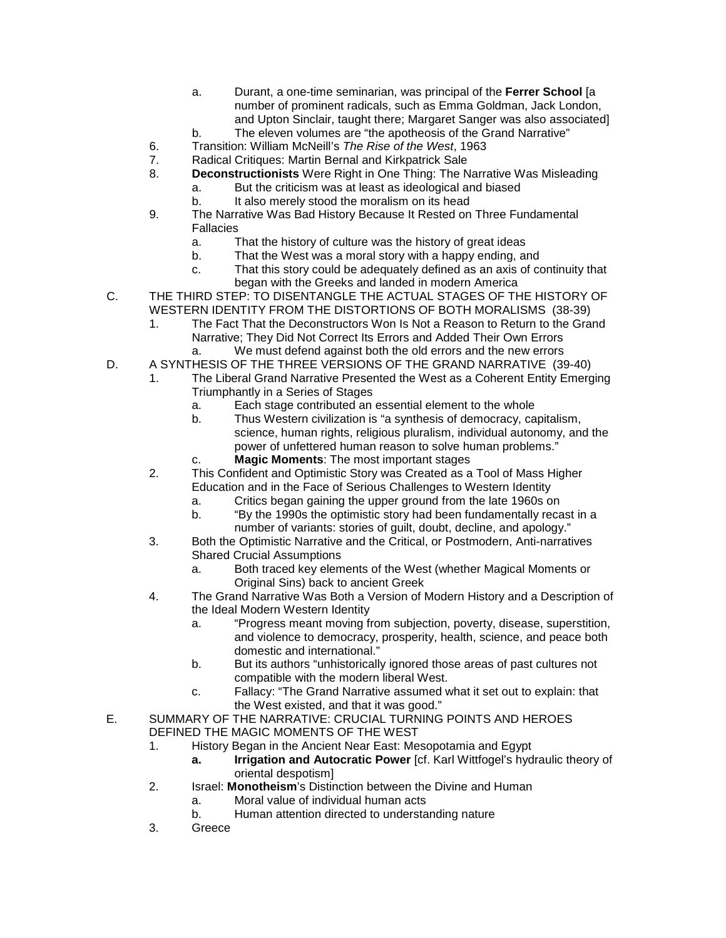- a. Durant, a one-time seminarian, was principal of the **Ferrer School** [a number of prominent radicals, such as Emma Goldman, Jack London, and Upton Sinclair, taught there; Margaret Sanger was also associated]
- b. The eleven volumes are "the apotheosis of the Grand Narrative"
- 6. Transition: William McNeill's *The Rise of the West*, 1963
- 7. Radical Critiques: Martin Bernal and Kirkpatrick Sale<br>8. **Deconstructionists** Were Right in One Thing: The N
	- 8. **Deconstructionists** Were Right in One Thing: The Narrative Was Misleading
		- a. But the criticism was at least as ideological and biased
		- b. It also merely stood the moralism on its head
- 9. The Narrative Was Bad History Because It Rested on Three Fundamental Fallacies
	- a. That the history of culture was the history of great ideas
	- b. That the West was a moral story with a happy ending, and
	- c. That this story could be adequately defined as an axis of continuity that began with the Greeks and landed in modern America
- C. THE THIRD STEP: TO DISENTANGLE THE ACTUAL STAGES OF THE HISTORY OF WESTERN IDENTITY FROM THE DISTORTIONS OF BOTH MORALISMS (38-39)
	- 1. The Fact That the Deconstructors Won Is Not a Reason to Return to the Grand Narrative; They Did Not Correct Its Errors and Added Their Own Errors a. We must defend against both the old errors and the new errors
- D. A SYNTHESIS OF THE THREE VERSIONS OF THE GRAND NARRATIVE (39-40)
	- 1. The Liberal Grand Narrative Presented the West as a Coherent Entity Emerging Triumphantly in a Series of Stages
		- a. Each stage contributed an essential element to the whole
		- b. Thus Western civilization is "a synthesis of democracy, capitalism, science, human rights, religious pluralism, individual autonomy, and the power of unfettered human reason to solve human problems."
		- c. **Magic Moments**: The most important stages
	- 2. This Confident and Optimistic Story was Created as a Tool of Mass Higher Education and in the Face of Serious Challenges to Western Identity
		- a. Critics began gaining the upper ground from the late 1960s on
		- b. "By the 1990s the optimistic story had been fundamentally recast in a number of variants: stories of guilt, doubt, decline, and apology."
	- 3. Both the Optimistic Narrative and the Critical, or Postmodern, Anti-narratives Shared Crucial Assumptions
		- a. Both traced key elements of the West (whether Magical Moments or Original Sins) back to ancient Greek
	- 4. The Grand Narrative Was Both a Version of Modern History and a Description of the Ideal Modern Western Identity
		- a. "Progress meant moving from subjection, poverty, disease, superstition, and violence to democracy, prosperity, health, science, and peace both domestic and international."
		- b. But its authors "unhistorically ignored those areas of past cultures not compatible with the modern liberal West.
		- c. Fallacy: "The Grand Narrative assumed what it set out to explain: that the West existed, and that it was good."
- E. SUMMARY OF THE NARRATIVE: CRUCIAL TURNING POINTS AND HEROES DEFINED THE MAGIC MOMENTS OF THE WEST
	- 1. History Began in the Ancient Near East: Mesopotamia and Egypt
		- **a. Irrigation and Autocratic Power** [cf. Karl Wittfogel's hydraulic theory of oriental despotism]
	- 2. Israel: **Monotheism**'s Distinction between the Divine and Human
		- a. Moral value of individual human acts
		- b. Human attention directed to understanding nature
	- 3. Greece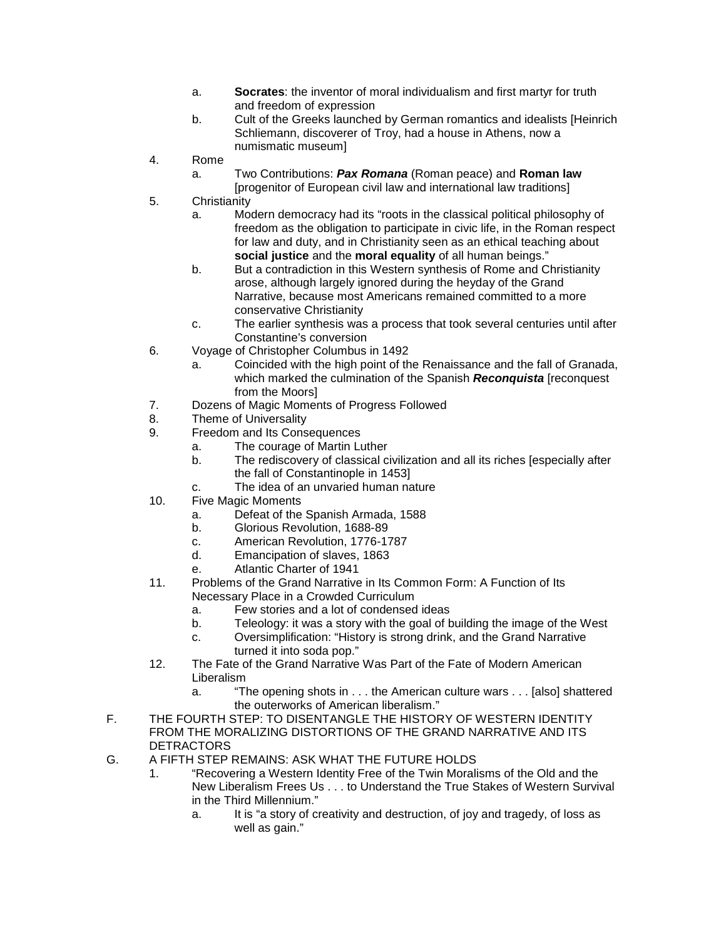- a. **Socrates**: the inventor of moral individualism and first martyr for truth and freedom of expression
- b. Cult of the Greeks launched by German romantics and idealists [Heinrich Schliemann, discoverer of Troy, had a house in Athens, now a numismatic museum]
- 4. Rome

a. Two Contributions: *Pax Romana* (Roman peace) and **Roman law** [progenitor of European civil law and international law traditions]

- 5. Christianity
	- a. Modern democracy had its "roots in the classical political philosophy of freedom as the obligation to participate in civic life, in the Roman respect for law and duty, and in Christianity seen as an ethical teaching about **social justice** and the **moral equality** of all human beings."
	- b. But a contradiction in this Western synthesis of Rome and Christianity arose, although largely ignored during the heyday of the Grand Narrative, because most Americans remained committed to a more conservative Christianity
	- c. The earlier synthesis was a process that took several centuries until after Constantine's conversion
- 6. Voyage of Christopher Columbus in 1492
	- a. Coincided with the high point of the Renaissance and the fall of Granada, which marked the culmination of the Spanish *Reconquista* [reconquest from the Moors]
- 7. Dozens of Magic Moments of Progress Followed
- 8. Theme of Universality
- 9. Freedom and Its Consequences
	- a. The courage of Martin Luther
	- b. The rediscovery of classical civilization and all its riches [especially after the fall of Constantinople in 1453]
	- c. The idea of an unvaried human nature
- 10. Five Magic Moments
	- a. Defeat of the Spanish Armada, 1588
	- b. Glorious Revolution, 1688-89
	- c. American Revolution, 1776-1787
	- d. Emancipation of slaves, 1863
	- e. Atlantic Charter of 1941
- 11. Problems of the Grand Narrative in Its Common Form: A Function of Its Necessary Place in a Crowded Curriculum
	- a. Few stories and a lot of condensed ideas
	- b. Teleology: it was a story with the goal of building the image of the West
	- c. Oversimplification: "History is strong drink, and the Grand Narrative turned it into soda pop."
- 12. The Fate of the Grand Narrative Was Part of the Fate of Modern American Liberalism
	- a. "The opening shots in . . . the American culture wars . . . [also] shattered the outerworks of American liberalism."
- F. THE FOURTH STEP: TO DISENTANGLE THE HISTORY OF WESTERN IDENTITY FROM THE MORALIZING DISTORTIONS OF THE GRAND NARRATIVE AND ITS DETRACTORS
- G. A FIFTH STEP REMAINS: ASK WHAT THE FUTURE HOLDS
	- 1. "Recovering a Western Identity Free of the Twin Moralisms of the Old and the New Liberalism Frees Us . . . to Understand the True Stakes of Western Survival in the Third Millennium."
		- a. It is "a story of creativity and destruction, of joy and tragedy, of loss as well as gain."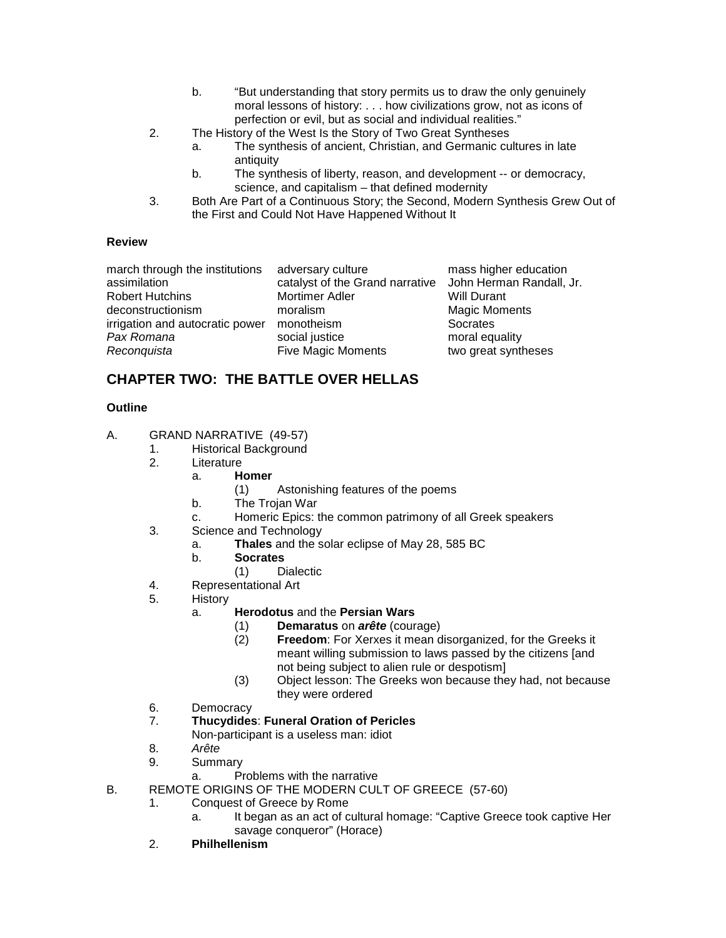- b. "But understanding that story permits us to draw the only genuinely moral lessons of history: . . . how civilizations grow, not as icons of perfection or evil, but as social and individual realities."
- 2. The History of the West Is the Story of Two Great Syntheses
	- a. The synthesis of ancient, Christian, and Germanic cultures in late antiquity
	- b. The synthesis of liberty, reason, and development -- or democracy, science, and capitalism – that defined modernity
- 3. Both Are Part of a Continuous Story; the Second, Modern Synthesis Grew Out of the First and Could Not Have Happened Without It

#### **Review**

| adversary culture                                        | mass higher education |
|----------------------------------------------------------|-----------------------|
| catalyst of the Grand narrative John Herman Randall, Jr. |                       |
| Mortimer Adler                                           | <b>Will Durant</b>    |
| moralism                                                 | <b>Magic Moments</b>  |
| monotheism                                               | Socrates              |
| social justice                                           | moral equality        |
| <b>Five Magic Moments</b>                                | two great syntheses   |
|                                                          |                       |

## **CHAPTER TWO: THE BATTLE OVER HELLAS**

#### **Outline**

- A. GRAND NARRATIVE (49-57)
	- 1. Historical Background<br>2. Literature
		- Literature
			- a. **Homer**
				- (1) Astonishing features of the poems
				- b. The Trojan War
				- c. Homeric Epics: the common patrimony of all Greek speakers
	- 3. Science and Technology
		- a. **Thales** and the solar eclipse of May 28, 585 BC
		- b. **Socrates**
			- (1) Dialectic
	- 4. Representational Art<br>5. History
	- **History** 
		- a. **Herodotus** and the **Persian Wars**
			- (1) **Demaratus** on *arête* (courage)
			- **Freedom**: For Xerxes it mean disorganized, for the Greeks it meant willing submission to laws passed by the citizens [and not being subject to alien rule or despotism]
			- (3) Object lesson: The Greeks won because they had, not because they were ordered
	- 6. Democracy
	- 7. **Thucydides**: **Funeral Oration of Pericles**
		- Non-participant is a useless man: idiot
	- 8. *Arête*
	- 9. Summary
		- a. Problems with the narrative
- B. REMOTE ORIGINS OF THE MODERN CULT OF GREECE (57-60)
	- 1. Conquest of Greece by Rome
		- a. It began as an act of cultural homage: "Captive Greece took captive Her savage conqueror" (Horace)
	- 2. **Philhellenism**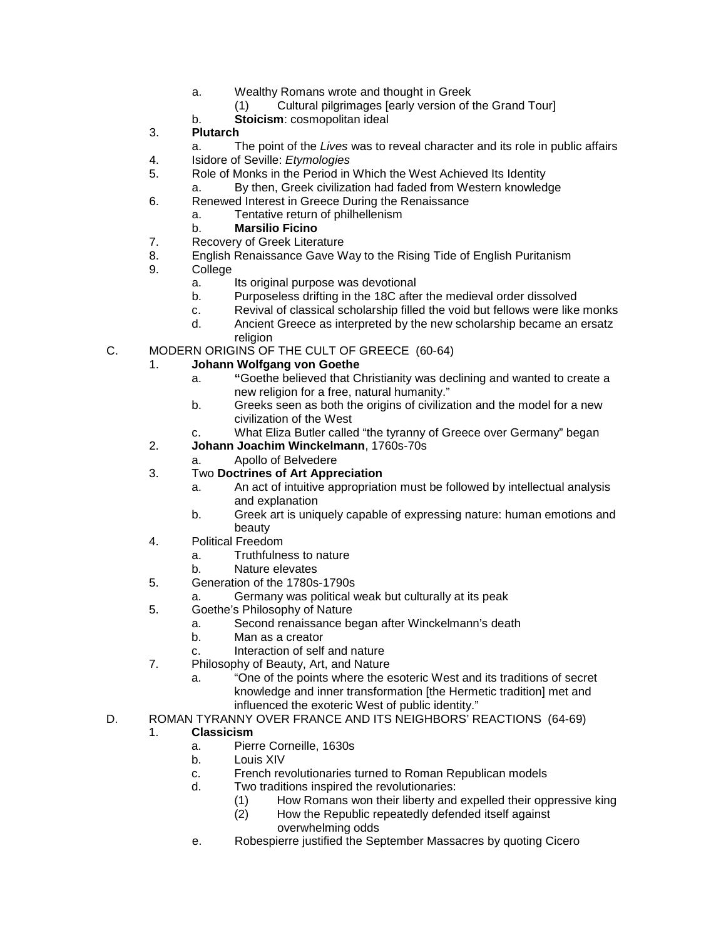- a. Wealthy Romans wrote and thought in Greek
	- (1) Cultural pilgrimages [early version of the Grand Tour]
- b. **Stoicism**: cosmopolitan ideal
- 3. **Plutarch**
	- a. The point of the *Lives* was to reveal character and its role in public affairs
- 4. Isidore of Seville: *Etymologies*
- 5. Role of Monks in the Period in Which the West Achieved Its Identity
	- a. By then, Greek civilization had faded from Western knowledge
- 6. Renewed Interest in Greece During the Renaissance
	- a. Tentative return of philhellenism
	- b. **Marsilio Ficino**
- 7. Recovery of Greek Literature
- 8. English Renaissance Gave Way to the Rising Tide of English Puritanism
- 9. College
	- a. Its original purpose was devotional
	- b. Purposeless drifting in the 18C after the medieval order dissolved
	- c. Revival of classical scholarship filled the void but fellows were like monks
	- d. Ancient Greece as interpreted by the new scholarship became an ersatz religion
- C. MODERN ORIGINS OF THE CULT OF GREECE (60-64)
	- 1. **Johann Wolfgang von Goethe**
		- a. **"**Goethe believed that Christianity was declining and wanted to create a new religion for a free, natural humanity."
		- b. Greeks seen as both the origins of civilization and the model for a new civilization of the West
		- c. What Eliza Butler called "the tyranny of Greece over Germany" began
		- 2. **Johann Joachim Winckelmann**, 1760s-70s
			- a. Apollo of Belvedere
		- 3. Two **Doctrines of Art Appreciation**
			- a. An act of intuitive appropriation must be followed by intellectual analysis and explanation
			- b. Greek art is uniquely capable of expressing nature: human emotions and beauty
		- 4. Political Freedom
			- a. Truthfulness to nature
			- b. Nature elevates
		- 5. Generation of the 1780s-1790s
			- a. Germany was political weak but culturally at its peak
		- 5. Goethe's Philosophy of Nature
			- a. Second renaissance began after Winckelmann's death
			- b. Man as a creator
			- c. Interaction of self and nature
		- 7. Philosophy of Beauty, Art, and Nature
			- a. "One of the points where the esoteric West and its traditions of secret knowledge and inner transformation [the Hermetic tradition] met and influenced the exoteric West of public identity."
- D. ROMAN TYRANNY OVER FRANCE AND ITS NEIGHBORS' REACTIONS (64-69)

#### 1. **Classicism**

- a. Pierre Corneille, 1630s
- b. Louis XIV
- c. French revolutionaries turned to Roman Republican models
- d. Two traditions inspired the revolutionaries:
	- (1) How Romans won their liberty and expelled their oppressive king<br>(2) How the Republic repeatedly defended itself against
	- How the Republic repeatedly defended itself against overwhelming odds
- e. Robespierre justified the September Massacres by quoting Cicero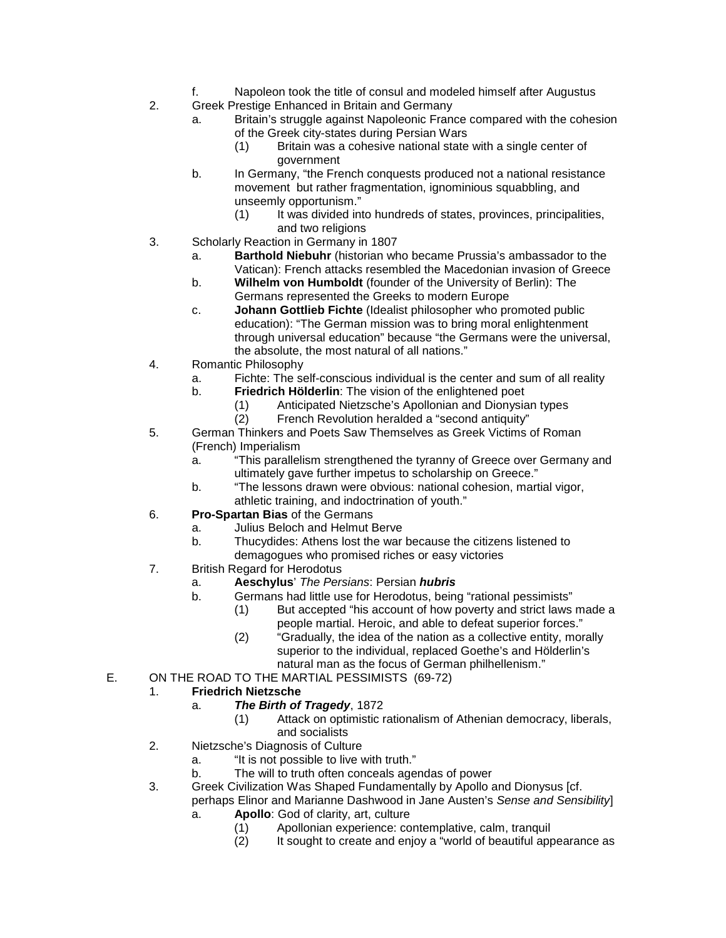- f. Napoleon took the title of consul and modeled himself after Augustus
- 2. Greek Prestige Enhanced in Britain and Germany
	- a. Britain's struggle against Napoleonic France compared with the cohesion of the Greek city-states during Persian Wars
		- (1) Britain was a cohesive national state with a single center of government
	- b. In Germany, "the French conquests produced not a national resistance movement but rather fragmentation, ignominious squabbling, and unseemly opportunism."<br>(1) It was divided in
		- It was divided into hundreds of states, provinces, principalities, and two religions
- 3. Scholarly Reaction in Germany in 1807
	- a. **Barthold Niebuhr** (historian who became Prussia's ambassador to the Vatican): French attacks resembled the Macedonian invasion of Greece
	- b. **Wilhelm von Humboldt** (founder of the University of Berlin): The Germans represented the Greeks to modern Europe
	- c. **Johann Gottlieb Fichte** (Idealist philosopher who promoted public education): "The German mission was to bring moral enlightenment through universal education" because "the Germans were the universal, the absolute, the most natural of all nations."
- 4. Romantic Philosophy
	- a. Fichte: The self-conscious individual is the center and sum of all reality
	- b. **Friedrich Hölderlin**: The vision of the enlightened poet
		- (1) Anticipated Nietzsche's Apollonian and Dionysian types
			- French Revolution heralded a "second antiquity"
- 5. German Thinkers and Poets Saw Themselves as Greek Victims of Roman (French) Imperialism
	- a. "This parallelism strengthened the tyranny of Greece over Germany and ultimately gave further impetus to scholarship on Greece."
	- b. "The lessons drawn were obvious: national cohesion, martial vigor, athletic training, and indoctrination of youth."
- 6. **Pro-Spartan Bias** of the Germans
	- a. Julius Beloch and Helmut Berve
	- b. Thucydides: Athens lost the war because the citizens listened to demagogues who promised riches or easy victories
- 7. British Regard for Herodotus
	- a. **Aeschylus**' *The Persians*: Persian *hubris*
		- b. Germans had little use for Herodotus, being "rational pessimists"
			- (1) But accepted "his account of how poverty and strict laws made a people martial. Heroic, and able to defeat superior forces."
				- (2) "Gradually, the idea of the nation as a collective entity, morally superior to the individual, replaced Goethe's and Hölderlin's natural man as the focus of German philhellenism."
- E. ON THE ROAD TO THE MARTIAL PESSIMISTS (69-72)

#### 1. **Friedrich Nietzsche**

- a. *The Birth of Tragedy*, 1872
	- (1) Attack on optimistic rationalism of Athenian democracy, liberals, and socialists
- 2. Nietzsche's Diagnosis of Culture
	- a. "It is not possible to live with truth."
	- b. The will to truth often conceals agendas of power
- 3. Greek Civilization Was Shaped Fundamentally by Apollo and Dionysus [cf.
	- perhaps Elinor and Marianne Dashwood in Jane Austen's *Sense and Sensibility*]
		- a. **Apollo**: God of clarity, art, culture
			- (1) Apollonian experience: contemplative, calm, tranquil
			- (2) It sought to create and enjoy a "world of beautiful appearance as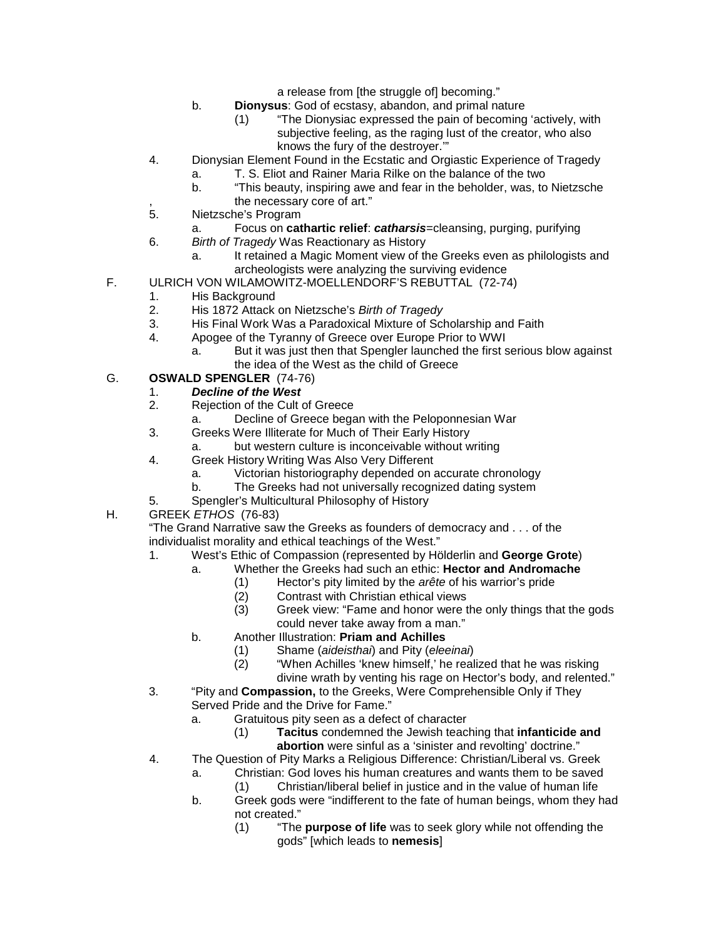a release from [the struggle of] becoming."

- b. **Dionysus**: God of ecstasy, abandon, and primal nature
	- (1) "The Dionysiac expressed the pain of becoming 'actively, with subjective feeling, as the raging lust of the creator, who also knows the fury of the destroyer.'"
- 4. Dionysian Element Found in the Ecstatic and Orgiastic Experience of Tragedy
	- a. T. S. Eliot and Rainer Maria Rilke on the balance of the two
- b. "This beauty, inspiring awe and fear in the beholder, was, to Nietzsche %, the necessary core of art."<br>5. Nietzsche's Program
- Nietzsche's Program
	- a. Focus on **cathartic relief**: *catharsis*=cleansing, purging, purifying
- 6. *Birth of Tragedy* Was Reactionary as History
	- a. It retained a Magic Moment view of the Greeks even as philologists and archeologists were analyzing the surviving evidence
- F. ULRICH VON WILAMOWITZ-MOELLENDORF'S REBUTTAL (72-74)
	- 1. His Background
	- 2. His 1872 Attack on Nietzsche's *Birth of Tragedy*
	- 3. His Final Work Was a Paradoxical Mixture of Scholarship and Faith
	- 4. Apogee of the Tyranny of Greece over Europe Prior to WWI
		- a. But it was just then that Spengler launched the first serious blow against the idea of the West as the child of Greece

#### G. **OSWALD SPENGLER** (74-76)

# 1. *Decline of the West*

- Rejection of the Cult of Greece
	- a. Decline of Greece began with the Peloponnesian War
- 3. Greeks Were Illiterate for Much of Their Early History
	- a. but western culture is inconceivable without writing
- 4. Greek History Writing Was Also Very Different
	- a. Victorian historiography depended on accurate chronology
	- b. The Greeks had not universally recognized dating system
- 5. Spengler's Multicultural Philosophy of History
- H. GREEK *ETHOS* (76-83)

"The Grand Narrative saw the Greeks as founders of democracy and . . . of the individualist morality and ethical teachings of the West."

- 1. West's Ethic of Compassion (represented by Hölderlin and **George Grote**)
	- a. Whether the Greeks had such an ethic: **Hector and Andromache**
		- (1) Hector's pity limited by the *arête* of his warrior's pride
			- (2) Contrast with Christian ethical views
			- (3) Greek view: "Fame and honor were the only things that the gods could never take away from a man."
	- b. Another Illustration: **Priam and Achilles**
		- (1) Shame (*aideisthai*) and Pity (*eleeinai*)
		- (2) "When Achilles 'knew himself,' he realized that he was risking divine wrath by venting his rage on Hector's body, and relented."
- 3. "Pity and **Compassion,** to the Greeks, Were Comprehensible Only if They Served Pride and the Drive for Fame."
	- a. Gratuitous pity seen as a defect of character
		- (1) **Tacitus** condemned the Jewish teaching that **infanticide and abortion** were sinful as a 'sinister and revolting' doctrine."
- 4. The Question of Pity Marks a Religious Difference: Christian/Liberal vs. Greek
	- a. Christian: God loves his human creatures and wants them to be saved
		- (1) Christian/liberal belief in justice and in the value of human life
	- b. Greek gods were "indifferent to the fate of human beings, whom they had not created."
		- (1) "The **purpose of life** was to seek glory while not offending the gods" [which leads to **nemesis**]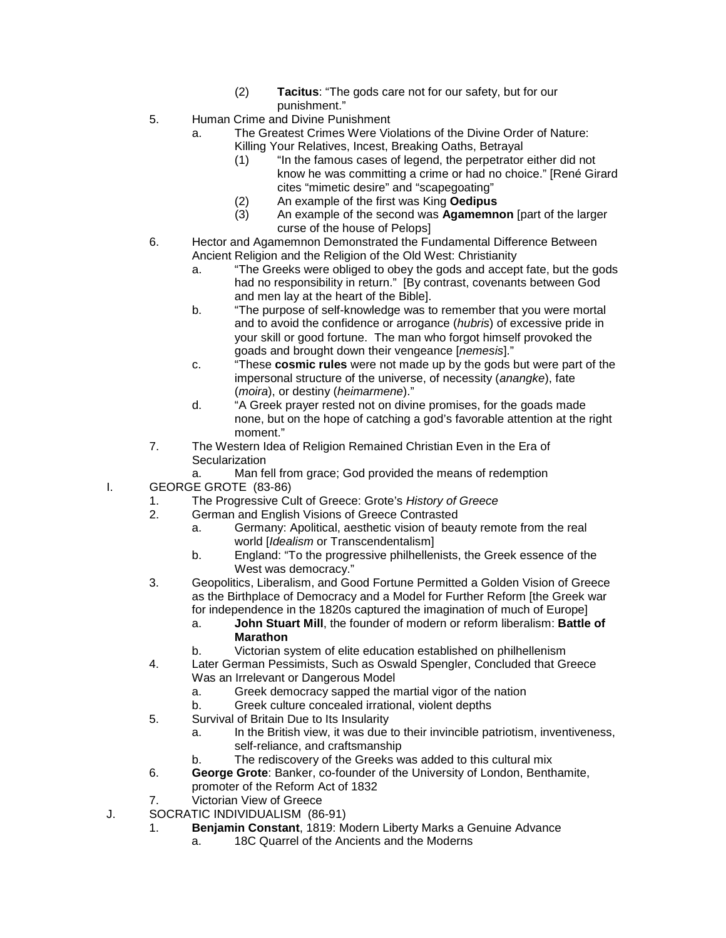- (2) **Tacitus**: "The gods care not for our safety, but for our punishment."
- 5. Human Crime and Divine Punishment
	- a. The Greatest Crimes Were Violations of the Divine Order of Nature:
		- Killing Your Relatives, Incest, Breaking Oaths, Betrayal
			- (1) "In the famous cases of legend, the perpetrator either did not know he was committing a crime or had no choice." [René Girard cites "mimetic desire" and "scapegoating"
		- (2) An example of the first was King **Oedipus**
		- (3) An example of the second was **Agamemnon** [part of the larger curse of the house of Pelops]
- 6. Hector and Agamemnon Demonstrated the Fundamental Difference Between Ancient Religion and the Religion of the Old West: Christianity
	- a. "The Greeks were obliged to obey the gods and accept fate, but the gods had no responsibility in return." [By contrast, covenants between God and men lay at the heart of the Bible].
	- b. "The purpose of self-knowledge was to remember that you were mortal and to avoid the confidence or arrogance (*hubris*) of excessive pride in your skill or good fortune. The man who forgot himself provoked the goads and brought down their vengeance [*nemesis*]."
	- c. "These **cosmic rules** were not made up by the gods but were part of the impersonal structure of the universe, of necessity (*anangke*), fate (*moira*), or destiny (*heimarmene*)."
	- d. "A Greek prayer rested not on divine promises, for the goads made none, but on the hope of catching a god's favorable attention at the right moment."
- 7. The Western Idea of Religion Remained Christian Even in the Era of **Secularization**

#### a. Man fell from grace; God provided the means of redemption

- I. GEORGE GROTE (83-86)
	- 1. The Progressive Cult of Greece: Grote's *History of Greece*
	- 2. German and English Visions of Greece Contrasted
		- a. Germany: Apolitical, aesthetic vision of beauty remote from the real world [*Idealism* or Transcendentalism]
		- b. England: "To the progressive philhellenists, the Greek essence of the West was democracy."
	- 3. Geopolitics, Liberalism, and Good Fortune Permitted a Golden Vision of Greece as the Birthplace of Democracy and a Model for Further Reform [the Greek war for independence in the 1820s captured the imagination of much of Europe]
		- a. **John Stuart Mill**, the founder of modern or reform liberalism: **Battle of Marathon**
		- b. Victorian system of elite education established on philhellenism
	- 4. Later German Pessimists, Such as Oswald Spengler, Concluded that Greece Was an Irrelevant or Dangerous Model
		- a. Greek democracy sapped the martial vigor of the nation
		- b. Greek culture concealed irrational, violent depths
	- 5. Survival of Britain Due to Its Insularity
		- a. In the British view, it was due to their invincible patriotism, inventiveness, self-reliance, and craftsmanship
		- b. The rediscovery of the Greeks was added to this cultural mix
	- 6. **George Grote**: Banker, co-founder of the University of London, Benthamite,
		- promoter of the Reform Act of 1832
	- 7. Victorian View of Greece
- J. SOCRATIC INDIVIDUALISM (86-91)
	- 1. **Benjamin Constant**, 1819: Modern Liberty Marks a Genuine Advance
		- a. 18C Quarrel of the Ancients and the Moderns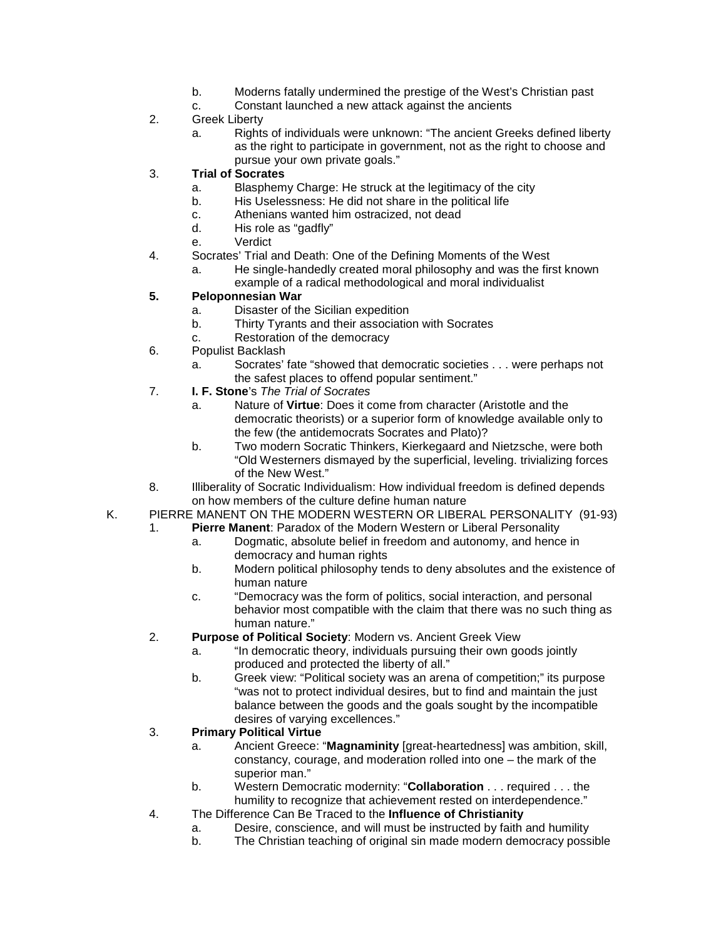- b. Moderns fatally undermined the prestige of the West's Christian past
- c. Constant launched a new attack against the ancients
- 2. Greek Liberty
	- a. Rights of individuals were unknown: "The ancient Greeks defined liberty as the right to participate in government, not as the right to choose and pursue your own private goals."

#### 3. **Trial of Socrates**

- a. Blasphemy Charge: He struck at the legitimacy of the city
- b. His Uselessness: He did not share in the political life
- c. Athenians wanted him ostracized, not dead
- d. His role as "gadfly"
- e. Verdict
- 4. Socrates' Trial and Death: One of the Defining Moments of the West
	- a. He single-handedly created moral philosophy and was the first known example of a radical methodological and moral individualist

#### **5. Peloponnesian War**

- a. Disaster of the Sicilian expedition
- b. Thirty Tyrants and their association with Socrates
- c. Restoration of the democracy
- 6. Populist Backlash
	- a. Socrates' fate "showed that democratic societies . . . were perhaps not the safest places to offend popular sentiment."
- 7. **I. F. Stone**'s *The Trial of Socrates*
	- a. Nature of **Virtue**: Does it come from character (Aristotle and the democratic theorists) or a superior form of knowledge available only to the few (the antidemocrats Socrates and Plato)?
	- b. Two modern Socratic Thinkers, Kierkegaard and Nietzsche, were both "Old Westerners dismayed by the superficial, leveling. trivializing forces of the New West."
- 8. Illiberality of Socratic Individualism: How individual freedom is defined depends on how members of the culture define human nature
- K. PIERRE MANENT ON THE MODERN WESTERN OR LIBERAL PERSONALITY (91-93)
	- 1. **Pierre Manent**: Paradox of the Modern Western or Liberal Personality
		- a. Dogmatic, absolute belief in freedom and autonomy, and hence in democracy and human rights
		- b. Modern political philosophy tends to deny absolutes and the existence of human nature
		- c. "Democracy was the form of politics, social interaction, and personal behavior most compatible with the claim that there was no such thing as human nature."
	- 2. **Purpose of Political Society**: Modern vs. Ancient Greek View
		- a. "In democratic theory, individuals pursuing their own goods jointly produced and protected the liberty of all."
		- b. Greek view: "Political society was an arena of competition;" its purpose "was not to protect individual desires, but to find and maintain the just balance between the goods and the goals sought by the incompatible desires of varying excellences."

#### 3. **Primary Political Virtue**

- a. Ancient Greece: "**Magnaminity** [great-heartedness] was ambition, skill, constancy, courage, and moderation rolled into one – the mark of the superior man."
- b. Western Democratic modernity: "**Collaboration** . . . required . . . the humility to recognize that achievement rested on interdependence."
- 4. The Difference Can Be Traced to the **Influence of Christianity**
	- a. Desire, conscience, and will must be instructed by faith and humility
	- b. The Christian teaching of original sin made modern democracy possible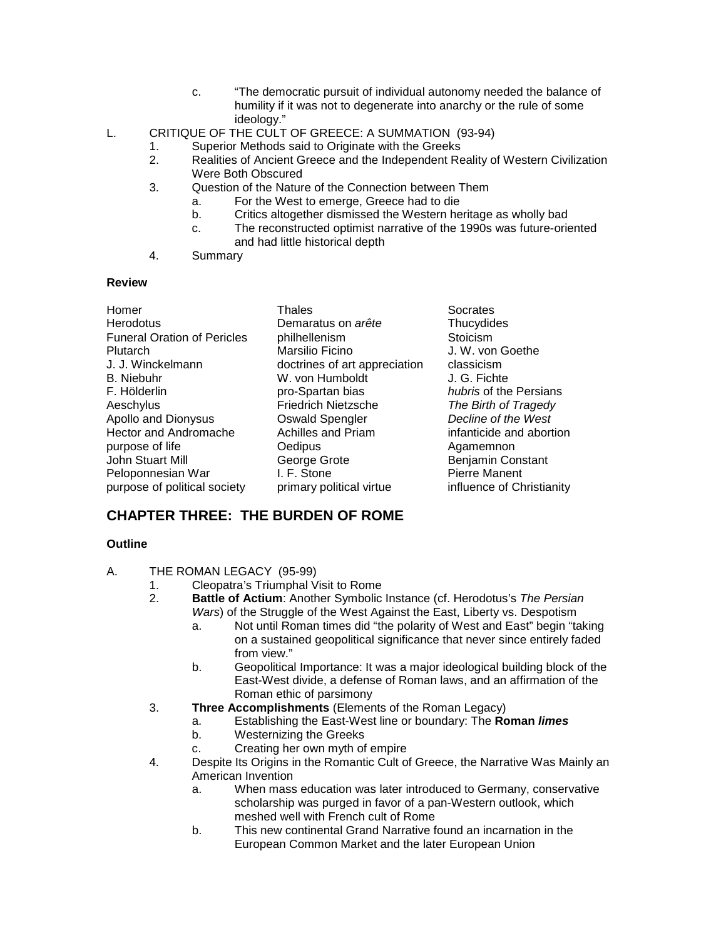- c. "The democratic pursuit of individual autonomy needed the balance of humility if it was not to degenerate into anarchy or the rule of some ideology."
- L. CRITIQUE OF THE CULT OF GREECE: A SUMMATION (93-94)
	- 1. Superior Methods said to Originate with the Greeks
	- 2. Realities of Ancient Greece and the Independent Reality of Western Civilization Were Both Obscured
	- 3. Question of the Nature of the Connection between Them
		- a. For the West to emerge, Greece had to die
		- Critics altogether dismissed the Western heritage as wholly bad
		- c. The reconstructed optimist narrative of the 1990s was future-oriented and had little historical depth
	- 4. Summary

#### **Review**

| Homer                              | Thales                        | Socrates                  |
|------------------------------------|-------------------------------|---------------------------|
| Herodotus                          | Demaratus on arête            | Thucydides                |
| <b>Funeral Oration of Pericles</b> | philhellenism                 | Stoicism                  |
| Plutarch                           | Marsilio Ficino               | J. W. von Goethe          |
| J. J. Winckelmann                  | doctrines of art appreciation | classicism                |
| <b>B.</b> Niebuhr                  | W. von Humboldt               | J. G. Fichte              |
| F. Hölderlin                       | pro-Spartan bias              | hubris of the Persians    |
| Aeschylus                          | <b>Friedrich Nietzsche</b>    | The Birth of Tragedy      |
| Apollo and Dionysus                | <b>Oswald Spengler</b>        | Decline of the West       |
| <b>Hector and Andromache</b>       | Achilles and Priam            | infanticide and abortion  |
| purpose of life                    | Oedipus                       | Agamemnon                 |
| John Stuart Mill                   | George Grote                  | Benjamin Constant         |
| Peloponnesian War                  | I. F. Stone                   | <b>Pierre Manent</b>      |
| purpose of political society       | primary political virtue      | influence of Christianity |

## **CHAPTER THREE: THE BURDEN OF ROME**

#### **Outline**

- A. THE ROMAN LEGACY (95-99)
	- 1. Cleopatra's Triumphal Visit to Rome<br>2. **Battle of Actium**: Another Symbolic
		- 2. **Battle of Actium**: Another Symbolic Instance (cf. Herodotus's *The Persian Wars*) of the Struggle of the West Against the East, Liberty vs. Despotism
			- a. Not until Roman times did "the polarity of West and East" begin "taking on a sustained geopolitical significance that never since entirely faded from view."
			- b. Geopolitical Importance: It was a major ideological building block of the East-West divide, a defense of Roman laws, and an affirmation of the Roman ethic of parsimony
	- 3. **Three Accomplishments** (Elements of the Roman Legacy)
		- a. Establishing the East-West line or boundary: The **Roman** *limes*
		- Westernizing the Greeks
		- c. Creating her own myth of empire
	- 4. Despite Its Origins in the Romantic Cult of Greece, the Narrative Was Mainly an American Invention
		- a. When mass education was later introduced to Germany, conservative scholarship was purged in favor of a pan-Western outlook, which meshed well with French cult of Rome
		- b. This new continental Grand Narrative found an incarnation in the European Common Market and the later European Union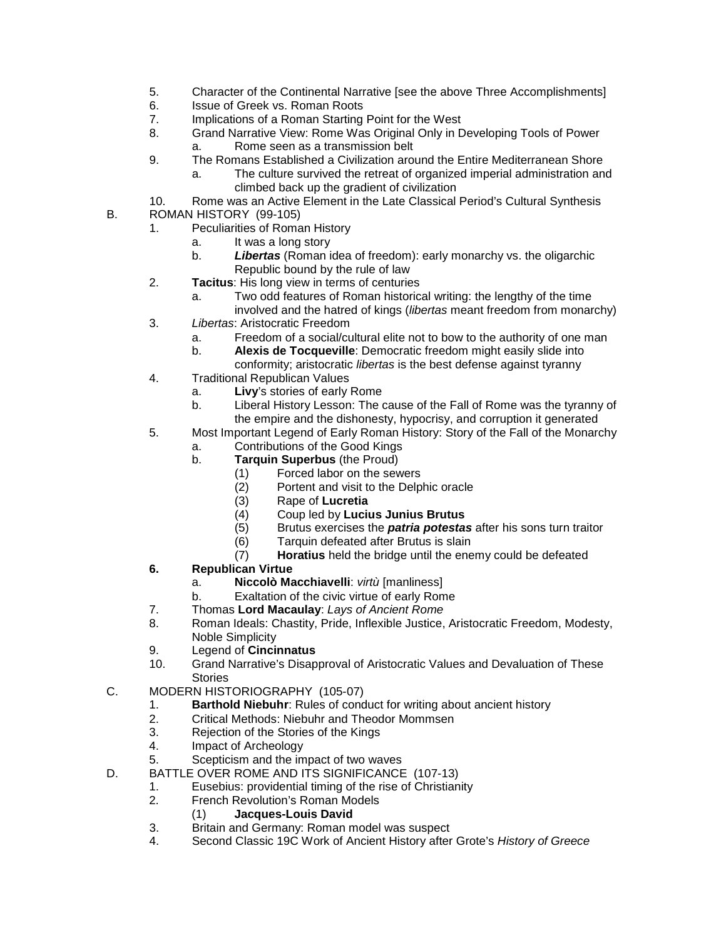- 5. Character of the Continental Narrative [see the above Three Accomplishments]
- 6. Issue of Greek vs. Roman Roots
- 7. Implications of a Roman Starting Point for the West<br>8. Grand Narrative View: Rome Was Original Only in D
- 8. Grand Narrative View: Rome Was Original Only in Developing Tools of Power
- a. Rome seen as a transmission belt
- 9. The Romans Established a Civilization around the Entire Mediterranean Shore
	- a. The culture survived the retreat of organized imperial administration and climbed back up the gradient of civilization
- 10. Rome was an Active Element in the Late Classical Period's Cultural Synthesis B. ROMAN HISTORY (99-105)
	- - 1. Peculiarities of Roman History
			- a. It was a long story
			- b. *Libertas* (Roman idea of freedom): early monarchy vs. the oligarchic Republic bound by the rule of law
		- 2. **Tacitus**: His long view in terms of centuries
			- a. Two odd features of Roman historical writing: the lengthy of the time

involved and the hatred of kings (*libertas* meant freedom from monarchy)

- 3. *Libertas*: Aristocratic Freedom
	- a. Freedom of a social/cultural elite not to bow to the authority of one man
	- b. **Alexis de Tocqueville**: Democratic freedom might easily slide into conformity; aristocratic *libertas* is the best defense against tyranny
- 4. Traditional Republican Values
	- a. **Livy**'s stories of early Rome
	- b. Liberal History Lesson: The cause of the Fall of Rome was the tyranny of the empire and the dishonesty, hypocrisy, and corruption it generated
- 5. Most Important Legend of Early Roman History: Story of the Fall of the Monarchy
	- a. Contributions of the Good Kings
	- b. **Tarquin Superbus** (the Proud)
		- (1) Forced labor on the sewers
		- $(2)$  Portent and visit to the Delphic oracle  $(3)$  Rape of Lucretia
		- (3) Rape of **Lucretia**
		- (4) Coup led by **Lucius Junius Brutus**
		- (5) Brutus exercises the *patria potestas* after his sons turn traitor
		- Tarquin defeated after Brutus is slain
		- (7) **Horatius** held the bridge until the enemy could be defeated
- **6. Republican Virtue**
	- a. **Niccolò Macchiavelli**: *virtù* [manliness]
	- b. Exaltation of the civic virtue of early Rome
- 7. Thomas **Lord Macaulay**: *Lays of Ancient Rome*
- 8. Roman Ideals: Chastity, Pride, Inflexible Justice, Aristocratic Freedom, Modesty, Noble Simplicity
- 9. Legend of **Cincinnatus**
- 10. Grand Narrative's Disapproval of Aristocratic Values and Devaluation of These Stories
- C. MODERN HISTORIOGRAPHY (105-07)
	- 1. **Barthold Niebuhr**: Rules of conduct for writing about ancient history
	- 2. Critical Methods: Niebuhr and Theodor Mommsen<br>3. Rejection of the Stories of the Kings
	- 3. Rejection of the Stories of the Kings
	- 4. Impact of Archeology
	- 5. Scepticism and the impact of two waves
- D. BATTLE OVER ROME AND ITS SIGNIFICANCE (107-13)
	- 1. Eusebius: providential timing of the rise of Christianity
	- 2. French Revolution's Roman Models
		- (1) **Jacques-Louis David**
	- 3. Britain and Germany: Roman model was suspect
	- 4. Second Classic 19C Work of Ancient History after Grote's *History of Greece*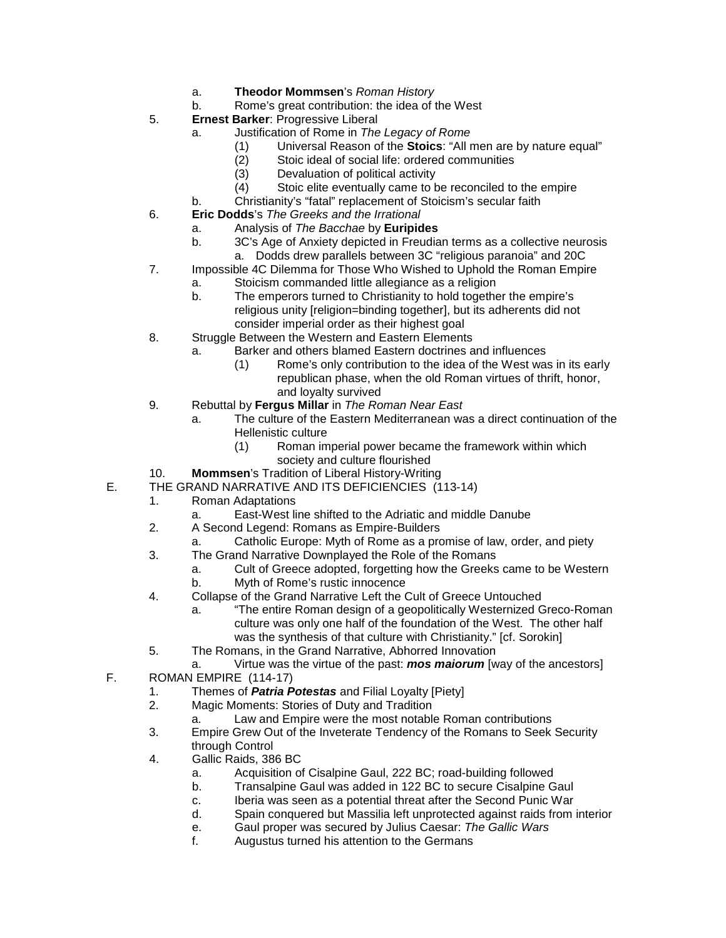- a. **Theodor Mommsen**'s *Roman History*
- b. Rome's great contribution: the idea of the West
- 5. **Ernest Barker**: Progressive Liberal
	- a. Justification of Rome in *The Legacy of Rome*
		- (1) Universal Reason of the **Stoics**: "All men are by nature equal"
		- (2) Stoic ideal of social life: ordered communities<br>(3) Devaluation of political activity
		- Devaluation of political activity
		- (4) Stoic elite eventually came to be reconciled to the empire
	- b. Christianity's "fatal" replacement of Stoicism's secular faith
- 6. **Eric Dodds**'s *The Greeks and the Irrational*
	- a. Analysis of *The Bacchae* by **Euripides**
	- 3C's Age of Anxiety depicted in Freudian terms as a collective neurosis a. Dodds drew parallels between 3C "religious paranoia" and 20C
- 7. Impossible 4C Dilemma for Those Who Wished to Uphold the Roman Empire
	- a. Stoicism commanded little allegiance as a religion
		- b. The emperors turned to Christianity to hold together the empire's religious unity [religion=binding together], but its adherents did not consider imperial order as their highest goal
- 8. Struggle Between the Western and Eastern Elements
	- a. Barker and others blamed Eastern doctrines and influences
		- (1) Rome's only contribution to the idea of the West was in its early republican phase, when the old Roman virtues of thrift, honor, and loyalty survived
- 9. Rebuttal by **Fergus Millar** in *The Roman Near East*
	- a. The culture of the Eastern Mediterranean was a direct continuation of the Hellenistic culture
		- (1) Roman imperial power became the framework within which society and culture flourished
- 10. **Mommsen**'s Tradition of Liberal History-Writing
- E. THE GRAND NARRATIVE AND ITS DEFICIENCIES (113-14)<br>1. Roman Adaptations
	- 1. Roman Adaptations
		- a. East-West line shifted to the Adriatic and middle Danube
	- 2. A Second Legend: Romans as Empire-Builders
		- a. Catholic Europe: Myth of Rome as a promise of law, order, and piety
	- 3. The Grand Narrative Downplayed the Role of the Romans
		- a. Cult of Greece adopted, forgetting how the Greeks came to be Western
		- b. Myth of Rome's rustic innocence
	- 4. Collapse of the Grand Narrative Left the Cult of Greece Untouched
		- a. "The entire Roman design of a geopolitically Westernized Greco-Roman culture was only one half of the foundation of the West. The other half was the synthesis of that culture with Christianity." [cf. Sorokin]
	- 5. The Romans, in the Grand Narrative, Abhorred Innovation
	- a. Virtue was the virtue of the past: *mos maiorum* [way of the ancestors]
- F. ROMAN EMPIRE (114-17)
	- 1. Themes of *Patria Potestas* and Filial Loyalty [Piety]
	- Magic Moments: Stories of Duty and Tradition
		- a. Law and Empire were the most notable Roman contributions
	- 3. Empire Grew Out of the Inveterate Tendency of the Romans to Seek Security through Control
	- 4. Gallic Raids, 386 BC
		- a. Acquisition of Cisalpine Gaul, 222 BC; road-building followed
		- b. Transalpine Gaul was added in 122 BC to secure Cisalpine Gaul
		- c. Iberia was seen as a potential threat after the Second Punic War
		- d. Spain conquered but Massilia left unprotected against raids from interior
		- e. Gaul proper was secured by Julius Caesar: *The Gallic Wars*
		- f. Augustus turned his attention to the Germans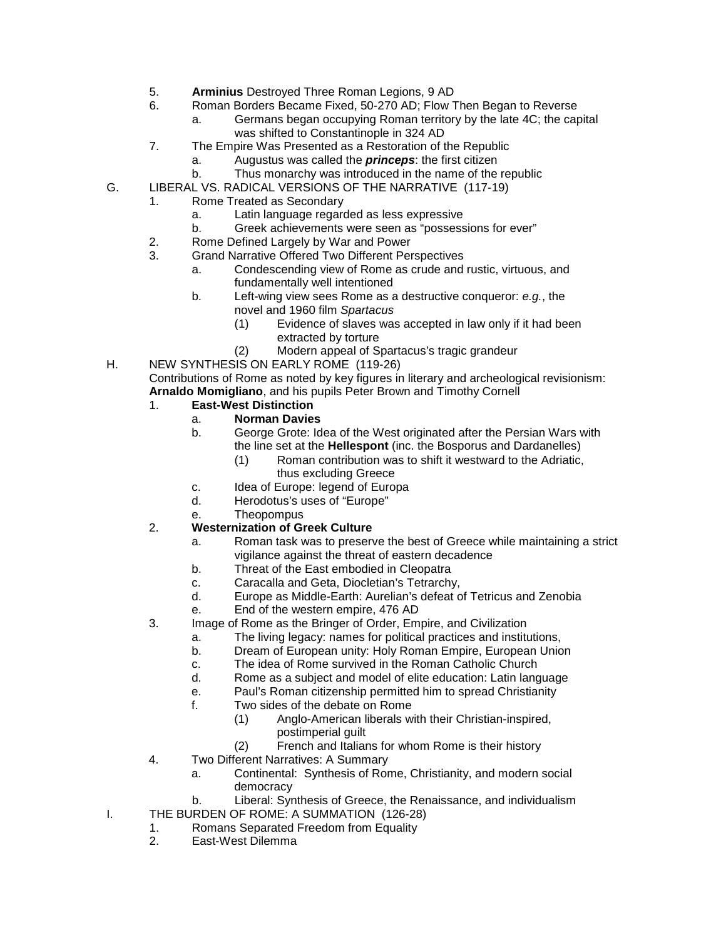- 5. **Arminius** Destroyed Three Roman Legions, 9 AD
- 6. Roman Borders Became Fixed, 50-270 AD; Flow Then Began to Reverse
	- a. Germans began occupying Roman territory by the late 4C; the capital was shifted to Constantinople in 324 AD
- 7. The Empire Was Presented as a Restoration of the Republic
	- Augustus was called the **princeps**: the first citizen
	- b. Thus monarchy was introduced in the name of the republic
- G. LIBERAL VS. RADICAL VERSIONS OF THE NARRATIVE (117-19)
	- 1. Rome Treated as Secondary
		- a. Latin language regarded as less expressive
		- b. Greek achievements were seen as "possessions for ever"
		- 2. Rome Defined Largely by War and Power<br>3 Grand Narrative Offered Two Different Per
		- Grand Narrative Offered Two Different Perspectives
			- a. Condescending view of Rome as crude and rustic, virtuous, and fundamentally well intentioned
			- b. Left-wing view sees Rome as a destructive conqueror: *e.g.*, the novel and 1960 film *Spartacus*
				- (1) Evidence of slaves was accepted in law only if it had been extracted by torture
				- (2) Modern appeal of Spartacus's tragic grandeur
- H. NEW SYNTHESIS ON EARLY ROME (119-26)

Contributions of Rome as noted by key figures in literary and archeological revisionism: **Arnaldo Momigliano**, and his pupils Peter Brown and Timothy Cornell

#### 1. **East-West Distinction**

#### a. **Norman Davies**

- b. George Grote: Idea of the West originated after the Persian Wars with the line set at the **Hellespont** (inc. the Bosporus and Dardanelles)
	- (1) Roman contribution was to shift it westward to the Adriatic, thus excluding Greece
	-
- c. Idea of Europe: legend of Europa<br>d. Herodotus's uses of "Europe" Herodotus's uses of "Europe"
- e. Theopompus

#### 2. **Westernization of Greek Culture**

- a. Roman task was to preserve the best of Greece while maintaining a strict vigilance against the threat of eastern decadence
- b. Threat of the East embodied in Cleopatra
- c. Caracalla and Geta, Diocletian's Tetrarchy,
- d. Europe as Middle-Earth: Aurelian's defeat of Tetricus and Zenobia
- e. End of the western empire, 476 AD
- 3. Image of Rome as the Bringer of Order, Empire, and Civilization
	- a. The living legacy: names for political practices and institutions,
		- b. Dream of European unity: Holy Roman Empire, European Union
		- c. The idea of Rome survived in the Roman Catholic Church
		- d. Rome as a subject and model of elite education: Latin language
		- e. Paul's Roman citizenship permitted him to spread Christianity<br>f Two sides of the debate on Rome
		- Two sides of the debate on Rome
			- (1) Anglo-American liberals with their Christian-inspired, postimperial guilt
			- (2) French and Italians for whom Rome is their history
- 4. Two Different Narratives: A Summary
	- a. Continental: Synthesis of Rome, Christianity, and modern social democracy
- b. Liberal: Synthesis of Greece, the Renaissance, and individualism
- I. THE BURDEN OF ROME: A SUMMATION (126-28)
	- 1. Romans Separated Freedom from Equality
	- 2. East-West Dilemma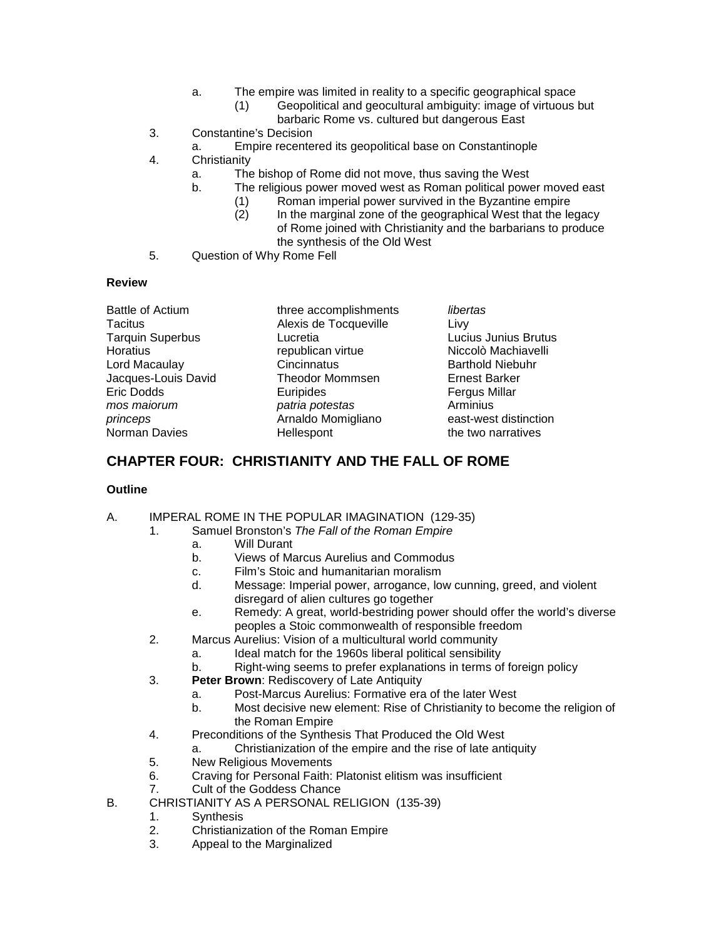- a. The empire was limited in reality to a specific geographical space
	- (1) Geopolitical and geocultural ambiguity: image of virtuous but barbaric Rome vs. cultured but dangerous East
- 3. Constantine's Decision
	- a. Empire recentered its geopolitical base on Constantinople
- 4. Christianity
	- a. The bishop of Rome did not move, thus saving the West
	- b. The religious power moved west as Roman political power moved east
		- (1) Roman imperial power survived in the Byzantine empire<br>(2) In the marginal zone of the geographical West that the le
			- In the marginal zone of the geographical West that the legacy of Rome joined with Christianity and the barbarians to produce the synthesis of the Old West
- 5. Question of Why Rome Fell

#### **Review**

| <b>Battle of Actium</b> | three accomplishments  | libertas                |
|-------------------------|------------------------|-------------------------|
| Tacitus                 | Alexis de Tocqueville  | Livy                    |
| <b>Tarquin Superbus</b> | Lucretia               | Lucius Junius Brutus    |
| Horatius                | republican virtue      | Niccolò Machiavelli     |
| Lord Macaulay           | Cincinnatus            | <b>Barthold Niebuhr</b> |
| Jacques-Louis David     | <b>Theodor Mommsen</b> | <b>Ernest Barker</b>    |
| Eric Dodds              | Euripides              | <b>Fergus Millar</b>    |
| mos maiorum             | patria potestas        | Arminius                |
| princeps                | Arnaldo Momigliano     | east-west distinction   |
| Norman Davies           | Hellespont             | the two narratives      |

# **CHAPTER FOUR: CHRISTIANITY AND THE FALL OF ROME**

#### **Outline**

#### A. IMPERAL ROME IN THE POPULAR IMAGINATION (129-35)

1. Samuel Bronston's *The Fall of the Roman Empire*

- a. Will Durant
- b. Views of Marcus Aurelius and Commodus
- c. Film's Stoic and humanitarian moralism
- Message: Imperial power, arrogance, low cunning, greed, and violent disregard of alien cultures go together
- e. Remedy: A great, world-bestriding power should offer the world's diverse peoples a Stoic commonwealth of responsible freedom
- 2. Marcus Aurelius: Vision of a multicultural world community
	- a. Ideal match for the 1960s liberal political sensibility
	- b. Right-wing seems to prefer explanations in terms of foreign policy
- 3. **Peter Brown**: Rediscovery of Late Antiquity
	- a. Post-Marcus Aurelius: Formative era of the later West
	- b. Most decisive new element: Rise of Christianity to become the religion of the Roman Empire
- 4. Preconditions of the Synthesis That Produced the Old West
	- a. Christianization of the empire and the rise of late antiquity
- 5. New Religious Movements
- 6. Craving for Personal Faith: Platonist elitism was insufficient
- Cult of the Goddess Chance
- B. CHRISTIANITY AS A PERSONAL RELIGION (135-39)
	- 1. Synthesis<br>2 Christianiz
	- 2. Christianization of the Roman Empire
	- 3. Appeal to the Marginalized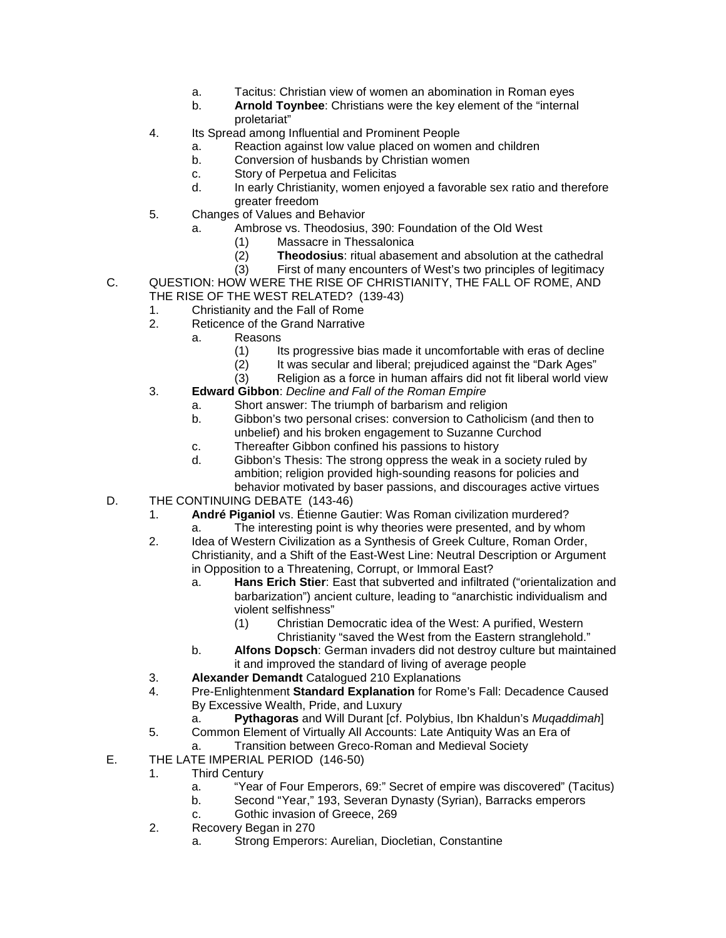- a. Tacitus: Christian view of women an abomination in Roman eyes
- b. **Arnold Toynbee**: Christians were the key element of the "internal proletariat"
- 4. Its Spread among Influential and Prominent People
	- a. Reaction against low value placed on women and children
	- b. Conversion of husbands by Christian women
	- c. Story of Perpetua and Felicitas
	- d. In early Christianity, women enjoyed a favorable sex ratio and therefore greater freedom
- 5. Changes of Values and Behavior
	- a. Ambrose vs. Theodosius, 390: Foundation of the Old West
		- (1) Massacre in Thessalonica<br>(2) Theodosius: ritual abasen
		- (2) **Theodosius**: ritual abasement and absolution at the cathedral
	- (3) First of many encounters of West's two principles of legitimacy
- C. QUESTION: HOW WERE THE RISE OF CHRISTIANITY, THE FALL OF ROME, AND THE RISE OF THE WEST RELATED? (139-43)
	- 1. Christianity and the Fall of Rome
	- 2. Reticence of the Grand Narrative
		- a. Reasons
			- (1) Its progressive bias made it uncomfortable with eras of decline<br>(2) It was secular and liberal; prejudiced against the "Dark Ages"
			- $(2)$  It was secular and liberal; prejudiced against the "Dark Ages"<br>(3) Religion as a force in human affairs did not fit liberal world vie
			- Religion as a force in human affairs did not fit liberal world view
	- 3. **Edward Gibbon**: *Decline and Fall of the Roman Empire*
		- a. Short answer: The triumph of barbarism and religion
			- b. Gibbon's two personal crises: conversion to Catholicism (and then to unbelief) and his broken engagement to Suzanne Curchod
		- c. Thereafter Gibbon confined his passions to history
		- d. Gibbon's Thesis: The strong oppress the weak in a society ruled by ambition; religion provided high-sounding reasons for policies and behavior motivated by baser passions, and discourages active virtues
- D. THE CONTINUING DEBATE (143-46)
	- 1. **André Piganiol** vs. Étienne Gautier: Was Roman civilization murdered?
		- a. The interesting point is why theories were presented, and by whom
	- 2. Idea of Western Civilization as a Synthesis of Greek Culture, Roman Order, Christianity, and a Shift of the East-West Line: Neutral Description or Argument in Opposition to a Threatening, Corrupt, or Immoral East?
		- a. **Hans Erich Stier**: East that subverted and infiltrated ("orientalization and barbarization") ancient culture, leading to "anarchistic individualism and violent selfishness"
			- (1) Christian Democratic idea of the West: A purified, Western Christianity "saved the West from the Eastern stranglehold."
		- b. **Alfons Dopsch**: German invaders did not destroy culture but maintained it and improved the standard of living of average people
	- 3. **Alexander Demandt** Catalogued 210 Explanations
	- 4. Pre-Enlightenment **Standard Explanation** for Rome's Fall: Decadence Caused By Excessive Wealth, Pride, and Luxury
		- a. **Pythagoras** and Will Durant [cf. Polybius, Ibn Khaldun's *Muqaddimah*]
	- 5. Common Element of Virtually All Accounts: Late Antiquity Was an Era of
		- a. Transition between Greco-Roman and Medieval Society
- E. THE LATE IMPERIAL PERIOD (146-50)
	- 1. Third Century
		- a. "Year of Four Emperors, 69:" Secret of empire was discovered" (Tacitus)
		- b. Second "Year," 193, Severan Dynasty (Syrian), Barracks emperors
		- c. Gothic invasion of Greece, 269
	- 2. Recovery Began in 270
		- a. Strong Emperors: Aurelian, Diocletian, Constantine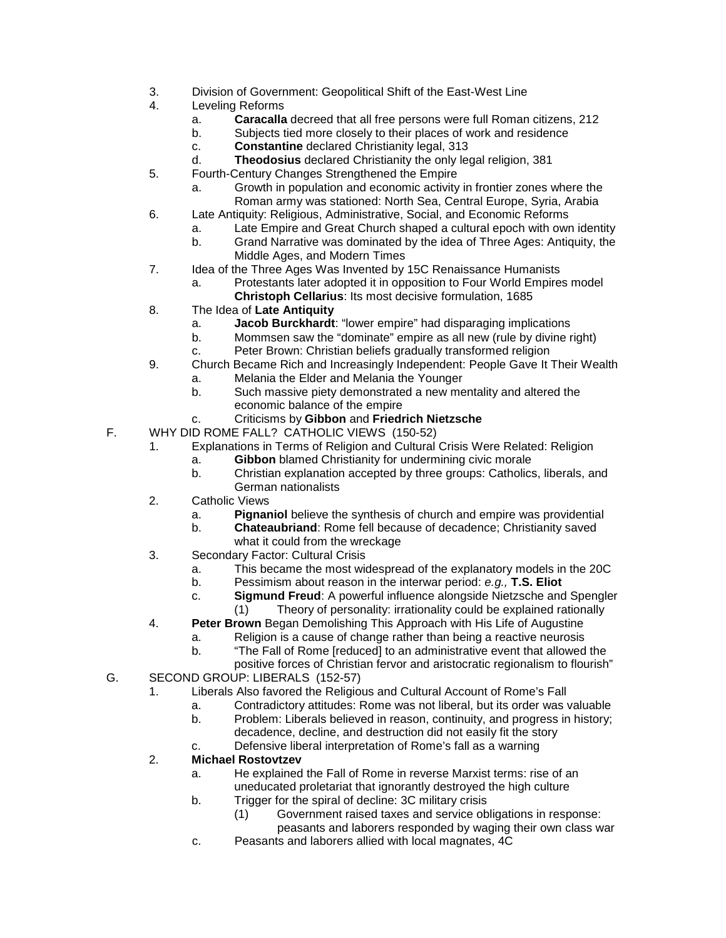- 3. Division of Government: Geopolitical Shift of the East-West Line
- 4. Leveling Reforms
	- a. **Caracalla** decreed that all free persons were full Roman citizens, 212
	- b. Subjects tied more closely to their places of work and residence
	- c. **Constantine** declared Christianity legal, 313
	- d. **Theodosius** declared Christianity the only legal religion, 381
- 5. Fourth-Century Changes Strengthened the Empire
	- a. Growth in population and economic activity in frontier zones where the Roman army was stationed: North Sea, Central Europe, Syria, Arabia
- 6. Late Antiquity: Religious, Administrative, Social, and Economic Reforms
	- a. Late Empire and Great Church shaped a cultural epoch with own identity
	- b. Grand Narrative was dominated by the idea of Three Ages: Antiquity, the Middle Ages, and Modern Times
- 7. Idea of the Three Ages Was Invented by 15C Renaissance Humanists
	- a. Protestants later adopted it in opposition to Four World Empires model **Christoph Cellarius**: Its most decisive formulation, 1685
- 8. The Idea of **Late Antiquity**
	- a. **Jacob Burckhardt**: "lower empire" had disparaging implications
	- b. Mommsen saw the "dominate" empire as all new (rule by divine right)
	- c. Peter Brown: Christian beliefs gradually transformed religion
- 9. Church Became Rich and Increasingly Independent: People Gave It Their Wealth
	- a. Melania the Elder and Melania the Younger
	- b. Such massive piety demonstrated a new mentality and altered the economic balance of the empire
	- c. Criticisms by **Gibbon** and **Friedrich Nietzsche**
- F. WHY DID ROME FALL? CATHOLIC VIEWS (150-52)
	- 1. Explanations in Terms of Religion and Cultural Crisis Were Related: Religion
		- a. **Gibbon** blamed Christianity for undermining civic morale
		- b. Christian explanation accepted by three groups: Catholics, liberals, and German nationalists
	- 2. Catholic Views
		- a. **Pignaniol** believe the synthesis of church and empire was providential
		- b. **Chateaubriand**: Rome fell because of decadence; Christianity saved what it could from the wreckage
	- 3. Secondary Factor: Cultural Crisis
		- a. This became the most widespread of the explanatory models in the 20C
		- b. Pessimism about reason in the interwar period: *e.g.,* **T.S. Eliot**
		- c. **Sigmund Freud**: A powerful influence alongside Nietzsche and Spengler (1) Theory of personality: irrationality could be explained rationally
	- 4. **Peter Brown** Began Demolishing This Approach with His Life of Augustine
		- a. Religion is a cause of change rather than being a reactive neurosis<br>b. The Fall of Rome [reduced] to an administrative event that allowed
			- "The Fall of Rome [reduced] to an administrative event that allowed the
		- positive forces of Christian fervor and aristocratic regionalism to flourish"
- G. SECOND GROUP: LIBERALS (152-57)
	- 1. Liberals Also favored the Religious and Cultural Account of Rome's Fall
		- a. Contradictory attitudes: Rome was not liberal, but its order was valuable
		- b. Problem: Liberals believed in reason, continuity, and progress in history; decadence, decline, and destruction did not easily fit the story
		- c. Defensive liberal interpretation of Rome's fall as a warning

#### 2. **Michael Rostovtzev**

- a. He explained the Fall of Rome in reverse Marxist terms: rise of an uneducated proletariat that ignorantly destroyed the high culture
- b. Trigger for the spiral of decline: 3C military crisis
	- (1) Government raised taxes and service obligations in response: peasants and laborers responded by waging their own class war
- c. Peasants and laborers allied with local magnates, 4C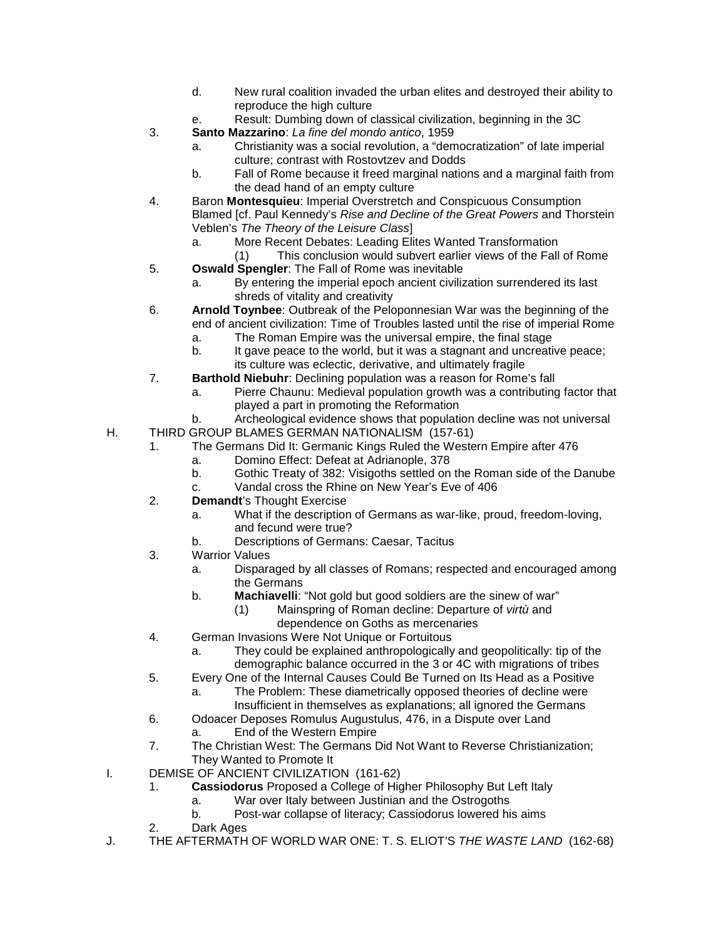- d. New rural coalition invaded the urban elites and destroyed their ability to reproduce the high culture
- e. Result: Dumbing down of classical civilization, beginning in the 3C
- 3. **Santo Mazzarino**: *La fine del mondo antico*, 1959
	- a. Christianity was a social revolution, a "democratization" of late imperial culture; contrast with Rostovtzev and Dodds
	- b. Fall of Rome because it freed marginal nations and a marginal faith from the dead hand of an empty culture
- 4. Baron **Montesquieu**: Imperial Overstretch and Conspicuous Consumption Blamed [cf. Paul Kennedy's *Rise and Decline of the Great Powers* and Thorstein Veblen's *The Theory of the Leisure Class*]
	- a. More Recent Debates: Leading Elites Wanted Transformation
	- (1) This conclusion would subvert earlier views of the Fall of Rome
- 5. **Oswald Spengler**: The Fall of Rome was inevitable
	- a. By entering the imperial epoch ancient civilization surrendered its last shreds of vitality and creativity
- 6. **Arnold Toynbee**: Outbreak of the Peloponnesian War was the beginning of the end of ancient civilization: Time of Troubles lasted until the rise of imperial Rome
	- a. The Roman Empire was the universal empire, the final stage
	- b. It gave peace to the world, but it was a stagnant and uncreative peace; its culture was eclectic, derivative, and ultimately fragile
- 7. **Barthold Niebuhr**: Declining population was a reason for Rome's fall
	- a. Pierre Chaunu: Medieval population growth was a contributing factor that played a part in promoting the Reformation
- b. Archeological evidence shows that population decline was not universal H. THIRD GROUP BLAMES GERMAN NATIONALISM (157-61)
	- 1. The Germans Did It: Germanic Kings Ruled the Western Empire after 476
		- a. Domino Effect: Defeat at Adrianople, 378
		- b. Gothic Treaty of 382: Visigoths settled on the Roman side of the Danube
		- c. Vandal cross the Rhine on New Year's Eve of 406
		- 2. **Demandt**'s Thought Exercise
			- a. What if the description of Germans as war-like, proud, freedom-loving, and fecund were true?
			- b. Descriptions of Germans: Caesar, Tacitus
		- 3. Warrior Values
			- a. Disparaged by all classes of Romans; respected and encouraged among the Germans
			- b. **Machiavelli**: "Not gold but good soldiers are the sinew of war"
				- (1) Mainspring of Roman decline: Departure of *virtù* and dependence on Goths as mercenaries
		- 4. German Invasions Were Not Unique or Fortuitous
			- a. They could be explained anthropologically and geopolitically: tip of the demographic balance occurred in the 3 or 4C with migrations of tribes
	- 5. Every One of the Internal Causes Could Be Turned on Its Head as a Positive
		- a. The Problem: These diametrically opposed theories of decline were Insufficient in themselves as explanations; all ignored the Germans
	- 6. Odoacer Deposes Romulus Augustulus, 476, in a Dispute over Land
		- a. End of the Western Empire
	- 7. The Christian West: The Germans Did Not Want to Reverse Christianization; They Wanted to Promote It
- I. DEMISE OF ANCIENT CIVILIZATION (161-62)
	- 1. **Cassiodorus** Proposed a College of Higher Philosophy But Left Italy
		- a. War over Italy between Justinian and the Ostrogoths
		- b. Post-war collapse of literacy; Cassiodorus lowered his aims
	- 2. Dark Ages
- J. THE AFTERMATH OF WORLD WAR ONE: T. S. ELIOT'S *THE WASTE LAND* (162-68)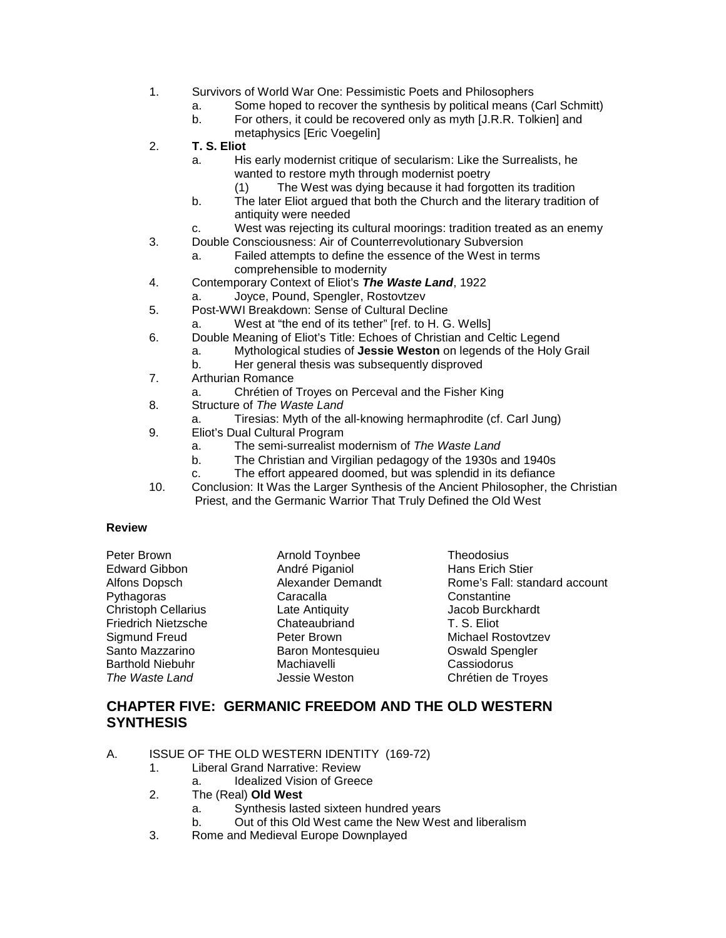- 1. Survivors of World War One: Pessimistic Poets and Philosophers
	- a. Some hoped to recover the synthesis by political means (Carl Schmitt)
	- b. For others, it could be recovered only as myth [J.R.R. Tolkien] and metaphysics [Eric Voegelin]
- 2. **T. S. Eliot**
	- a. His early modernist critique of secularism: Like the Surrealists, he wanted to restore myth through modernist poetry
		- (1) The West was dying because it had forgotten its tradition
	- b. The later Eliot argued that both the Church and the literary tradition of antiquity were needed
	- c. West was rejecting its cultural moorings: tradition treated as an enemy
- 3. Double Consciousness: Air of Counterrevolutionary Subversion
	- a. Failed attempts to define the essence of the West in terms comprehensible to modernity
- 4. Contemporary Context of Eliot's *The Waste Land*, 1922
	- a. Joyce, Pound, Spengler, Rostovtzev
- 5. Post-WWI Breakdown: Sense of Cultural Decline
	- West at "the end of its tether" [ref. to H. G. Wells]
- 6. Double Meaning of Eliot's Title: Echoes of Christian and Celtic Legend
	- a. Mythological studies of **Jessie Weston** on legends of the Holy Grail
		- b. Her general thesis was subsequently disproved
- 7. Arthurian Romance
	- a. Chrétien of Troyes on Perceval and the Fisher King
- 8. Structure of *The Waste Land*
	- a. Tiresias: Myth of the all-knowing hermaphrodite (cf. Carl Jung)
- 9. Eliot's Dual Cultural Program
	- a. The semi-surrealist modernism of *The Waste Land*
	- b. The Christian and Virgilian pedagogy of the 1930s and 1940s
	- c. The effort appeared doomed, but was splendid in its defiance
- 10. Conclusion: It Was the Larger Synthesis of the Ancient Philosopher, the Christian Priest, and the Germanic Warrior That Truly Defined the Old West

#### **Review**

| Peter Brown                |  |
|----------------------------|--|
| Edward Gibbon              |  |
| Alfons Dopsch              |  |
| Pythagoras                 |  |
| <b>Christoph Cellarius</b> |  |
| <b>Friedrich Nietzsche</b> |  |
| Sigmund Freud              |  |
| Santo Mazzarino            |  |
| <b>Barthold Niebuhr</b>    |  |
| The Waste Land             |  |

Arnold Toynbee Theodosius<br>Pandré Piganiol Mans Erich André Piganiol **France Bibon André Piganiol**<br>Alexander Demandt **Hans Rome's Fall:** star Paracalla Constantine<br>
Late Antiquity<br>
Late Antiquity Chateaubriand T. S. Eliot Baron Montesquieu<br>Machiavelli

Alexander Demandt Rome's Fall: standard account<br>Caracalla Rome Constantine Jacob Burckhardt Peter Brown **Freud Peter Brown Baron Michael Rostovtzev**<br>Baron Montesquieu **Brown Brown Contract Contract Preud Contract** Cassiodorus *The Waste Land* Jessie Weston Chrétien de Troyes

### **CHAPTER FIVE: GERMANIC FREEDOM AND THE OLD WESTERN SYNTHESIS**

- A. ISSUE OF THE OLD WESTERN IDENTITY (169-72)
	- 1. Liberal Grand Narrative: Review
		- a. Idealized Vision of Greece
	- 2. The (Real) **Old West**
		- a. Synthesis lasted sixteen hundred years
		- b. Out of this Old West came the New West and liberalism
	- 3. Rome and Medieval Europe Downplayed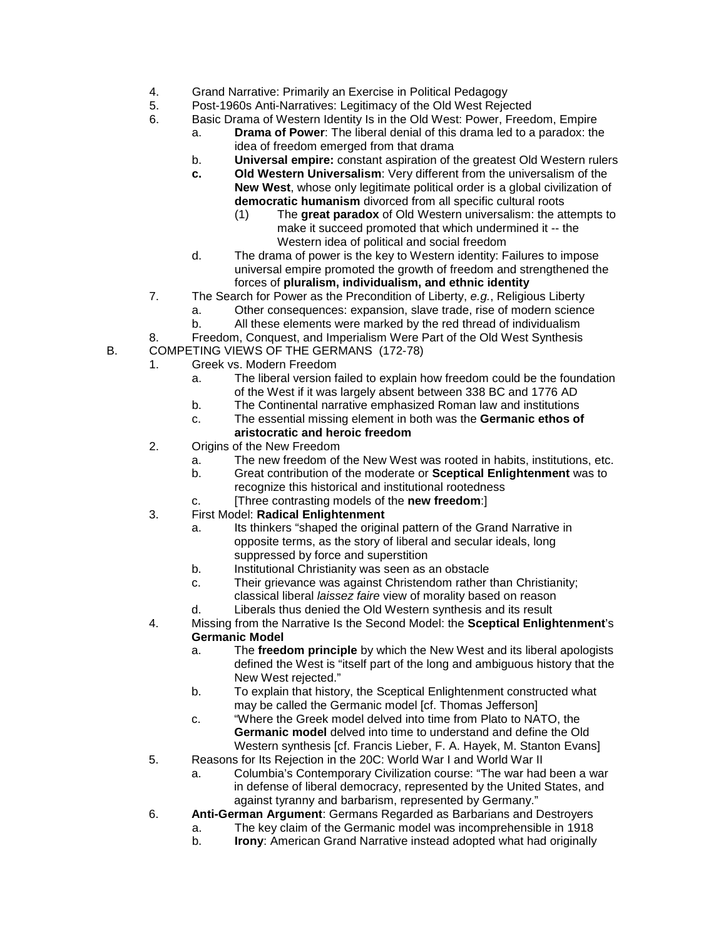- 4. Grand Narrative: Primarily an Exercise in Political Pedagogy
- 5. Post-1960s Anti-Narratives: Legitimacy of the Old West Rejected
- 6. Basic Drama of Western Identity Is in the Old West: Power, Freedom, Empire
	- a. **Drama of Power**: The liberal denial of this drama led to a paradox: the idea of freedom emerged from that drama
	- b. **Universal empire:** constant aspiration of the greatest Old Western rulers
	- **c. Old Western Universalism**: Very different from the universalism of the **New West**, whose only legitimate political order is a global civilization of **democratic humanism** divorced from all specific cultural roots
		- (1) The **great paradox** of Old Western universalism: the attempts to make it succeed promoted that which undermined it -- the Western idea of political and social freedom
	- d. The drama of power is the key to Western identity: Failures to impose universal empire promoted the growth of freedom and strengthened the forces of **pluralism, individualism, and ethnic identity**
- 7. The Search for Power as the Precondition of Liberty, *e.g.*, Religious Liberty
	- a. Other consequences: expansion, slave trade, rise of modern science
	- b. All these elements were marked by the red thread of individualism
- 8. Freedom, Conquest, and Imperialism Were Part of the Old West Synthesis
- B. COMPETING VIEWS OF THE GERMANS (172-78)
	- 1. Greek vs. Modern Freedom
		- a. The liberal version failed to explain how freedom could be the foundation of the West if it was largely absent between 338 BC and 1776 AD
		- b. The Continental narrative emphasized Roman law and institutions
		- c. The essential missing element in both was the **Germanic ethos of**

#### **aristocratic and heroic freedom**

- 2. Origins of the New Freedom
	- a. The new freedom of the New West was rooted in habits, institutions, etc.
	- b. Great contribution of the moderate or **Sceptical Enlightenment** was to recognize this historical and institutional rootedness
	- c. [Three contrasting models of the **new freedom**:]
- 3. First Model: **Radical Enlightenment**
	- a. Its thinkers "shaped the original pattern of the Grand Narrative in opposite terms, as the story of liberal and secular ideals, long suppressed by force and superstition
	- b. Institutional Christianity was seen as an obstacle
	- c. Their grievance was against Christendom rather than Christianity; classical liberal *laissez faire* view of morality based on reason
	- d. Liberals thus denied the Old Western synthesis and its result
- 4. Missing from the Narrative Is the Second Model: the **Sceptical Enlightenment**'s **Germanic Model**
	- a. The **freedom principle** by which the New West and its liberal apologists defined the West is "itself part of the long and ambiguous history that the New West rejected."
	- b. To explain that history, the Sceptical Enlightenment constructed what may be called the Germanic model [cf. Thomas Jefferson]
	- c. "Where the Greek model delved into time from Plato to NATO, the **Germanic model** delved into time to understand and define the Old Western synthesis [cf. Francis Lieber, F. A. Hayek, M. Stanton Evans]
- 5. Reasons for Its Rejection in the 20C: World War I and World War II
	- a. Columbia's Contemporary Civilization course: "The war had been a war in defense of liberal democracy, represented by the United States, and against tyranny and barbarism, represented by Germany."
- 6. **Anti-German Argument**: Germans Regarded as Barbarians and Destroyers
	- a. The key claim of the Germanic model was incomprehensible in 1918
	- b. **Irony**: American Grand Narrative instead adopted what had originally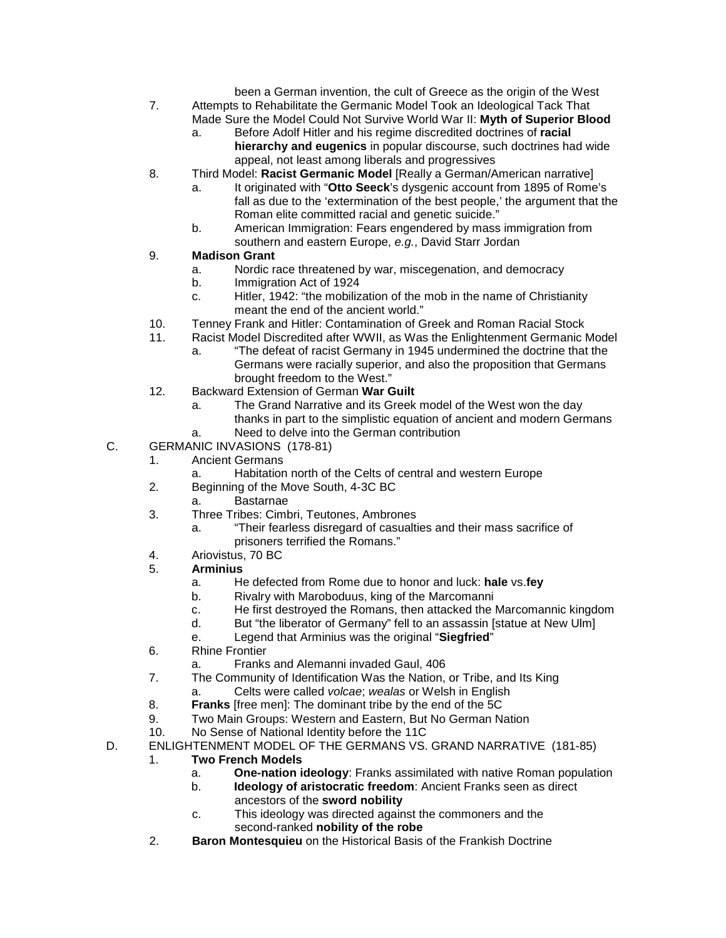been a German invention, the cult of Greece as the origin of the West 7. Attempts to Rehabilitate the Germanic Model Took an Ideological Tack That

- Made Sure the Model Could Not Survive World War II: **Myth of Superior Blood** a. Before Adolf Hitler and his regime discredited doctrines of **racial**
	- **hierarchy and eugenics** in popular discourse, such doctrines had wide appeal, not least among liberals and progressives
- 8. Third Model: **Racist Germanic Model** [Really a German/American narrative]
	- a. It originated with "**Otto Seeck**'s dysgenic account from 1895 of Rome's fall as due to the 'extermination of the best people,' the argument that the Roman elite committed racial and genetic suicide."
	- b. American Immigration: Fears engendered by mass immigration from southern and eastern Europe, *e.g.*, David Starr Jordan

#### 9. **Madison Grant**

- a. Nordic race threatened by war, miscegenation, and democracy
- b. Immigration Act of 1924
- c. Hitler, 1942: "the mobilization of the mob in the name of Christianity meant the end of the ancient world."
- 10. Tenney Frank and Hitler: Contamination of Greek and Roman Racial Stock
- 11. Racist Model Discredited after WWII, as Was the Enlightenment Germanic Model
	- a. "The defeat of racist Germany in 1945 undermined the doctrine that the Germans were racially superior, and also the proposition that Germans brought freedom to the West."
- 12. Backward Extension of German **War Guilt**
	- a. The Grand Narrative and its Greek model of the West won the day thanks in part to the simplistic equation of ancient and modern Germans a. Need to delve into the German contribution
	-
- C. GERMANIC INVASIONS (178-81)
	- 1. Ancient Germans
		- Habitation north of the Celts of central and western Europe
	- 2. Beginning of the Move South, 4-3C BC
		- a. Bastarnae
	- 3. Three Tribes: Cimbri, Teutones, Ambrones
		- a. "Their fearless disregard of casualties and their mass sacrifice of prisoners terrified the Romans."
	- 4. Ariovistus, 70 BC
	- 5. **Arminius**
		- a. He defected from Rome due to honor and luck: **hale** vs.**fey**
		- b. Rivalry with Maroboduus, king of the Marcomanni
		- c. He first destroyed the Romans, then attacked the Marcomannic kingdom
		- d. But "the liberator of Germany" fell to an assassin [statue at New Ulm]
		- e. Legend that Arminius was the original "**Siegfried**"
	- 6. Rhine Frontier
		- a. Franks and Alemanni invaded Gaul, 406
	- 7. The Community of Identification Was the Nation, or Tribe, and Its King
		- a. Celts were called *volcae*; *wealas* or Welsh in English
	- 8. **Franks** [free men]: The dominant tribe by the end of the 5C
	- 9. Two Main Groups: Western and Eastern, But No German Nation<br>10. No Sense of National Identity before the 11C
	- 10. No Sense of National Identity before the 11C
- D. ENLIGHTENMENT MODEL OF THE GERMANS VS. GRAND NARRATIVE (181-85)
	- 1. **Two French Models**
		- a. **One-nation ideology**: Franks assimilated with native Roman population
		- b. **Ideology of aristocratic freedom**: Ancient Franks seen as direct ancestors of the **sword nobility**
		- c. This ideology was directed against the commoners and the second-ranked **nobility of the robe**
	- 2. **Baron Montesquieu** on the Historical Basis of the Frankish Doctrine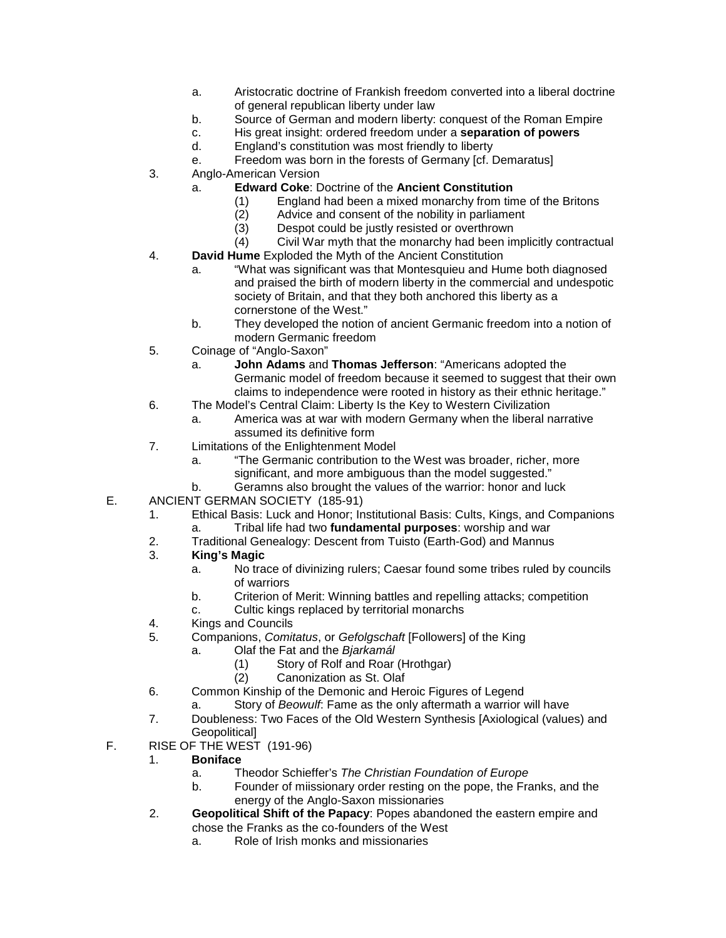- a. Aristocratic doctrine of Frankish freedom converted into a liberal doctrine of general republican liberty under law
- b. Source of German and modern liberty: conquest of the Roman Empire
- c. His great insight: ordered freedom under a **separation of powers**
- d. England's constitution was most friendly to liberty
- e. Freedom was born in the forests of Germany [cf. Demaratus]
- 3. Anglo-American Version
	- a. **Edward Coke**: Doctrine of the **Ancient Constitution**
		- (1) England had been a mixed monarchy from time of the Britons (2) Advice and consent of the nobility in parliament
		- Advice and consent of the nobility in parliament
		- (3) Despot could be justly resisted or overthrown
		- (4) Civil War myth that the monarchy had been implicitly contractual
- 4. **David Hume** Exploded the Myth of the Ancient Constitution
	- a. "What was significant was that Montesquieu and Hume both diagnosed and praised the birth of modern liberty in the commercial and undespotic society of Britain, and that they both anchored this liberty as a cornerstone of the West."
	- b. They developed the notion of ancient Germanic freedom into a notion of modern Germanic freedom
- 5. Coinage of "Anglo-Saxon"
	- a. **John Adams** and **Thomas Jefferson**: "Americans adopted the Germanic model of freedom because it seemed to suggest that their own claims to independence were rooted in history as their ethnic heritage."
- 6. The Model's Central Claim: Liberty Is the Key to Western Civilization
	- a. America was at war with modern Germany when the liberal narrative assumed its definitive form
- 7. Limitations of the Enlightenment Model
	- a. "The Germanic contribution to the West was broader, richer, more significant, and more ambiguous than the model suggested."
	- b. Geramns also brought the values of the warrior: honor and luck
- E. ANCIENT GERMAN SOCIETY (185-91)
	- 1. Ethical Basis: Luck and Honor; Institutional Basis: Cults, Kings, and Companions a. Tribal life had two **fundamental purposes**: worship and war
	- 2. Traditional Genealogy: Descent from Tuisto (Earth-God) and Mannus
	- 3. **King's Magic**
		- a. No trace of divinizing rulers; Caesar found some tribes ruled by councils of warriors
		- b. Criterion of Merit: Winning battles and repelling attacks; competition
		- c. Cultic kings replaced by territorial monarchs
	- 4. Kings and Councils
	- 5. Companions, *Comitatus*, or *Gefolgschaft* [Followers] of the King
		- a. Olaf the Fat and the *Bjarkamál*
			- (1) Story of Rolf and Roar (Hrothgar)
			- (2) Canonization as St. Olaf
	- 6. Common Kinship of the Demonic and Heroic Figures of Legend
		- a. Story of *Beowulf*: Fame as the only aftermath a warrior will have
	- 7. Doubleness: Two Faces of the Old Western Synthesis [Axiological (values) and Geopolitical]
- F. RISE OF THE WEST (191-96)
	- 1. **Boniface**
		- a. Theodor Schieffer's *The Christian Foundation of Europe*
		- b. Founder of miissionary order resting on the pope, the Franks, and the energy of the Anglo-Saxon missionaries
	- 2. **Geopolitical Shift of the Papacy**: Popes abandoned the eastern empire and chose the Franks as the co-founders of the West
		- a. Role of Irish monks and missionaries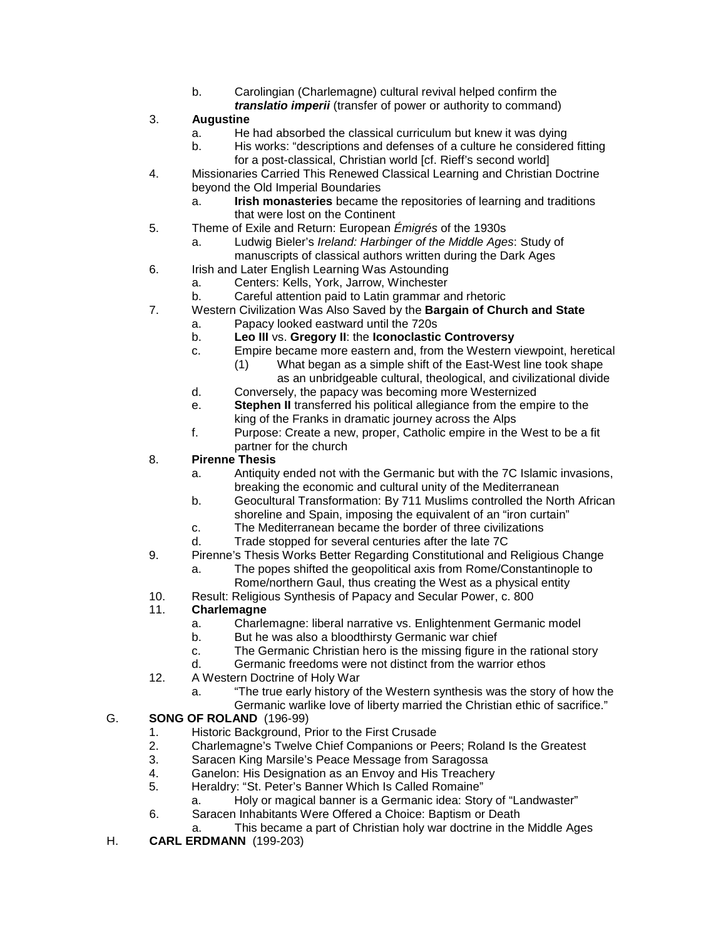- b. Carolingian (Charlemagne) cultural revival helped confirm the *translatio imperii* (transfer of power or authority to command)
- 3. **Augustine**
	- a. He had absorbed the classical curriculum but knew it was dying
	- b. His works: "descriptions and defenses of a culture he considered fitting for a post-classical, Christian world [cf. Rieff's second world]
- 4. Missionaries Carried This Renewed Classical Learning and Christian Doctrine beyond the Old Imperial Boundaries
	- a. **Irish monasteries** became the repositories of learning and traditions that were lost on the Continent
- 5. Theme of Exile and Return: European *Émigrés* of the 1930s
	- a. Ludwig Bieler's *Ireland: Harbinger of the Middle Ages*: Study of manuscripts of classical authors written during the Dark Ages
- 6. Irish and Later English Learning Was Astounding
	- a. Centers: Kells, York, Jarrow, Winchester
		- b. Careful attention paid to Latin grammar and rhetoric
- 7. Western Civilization Was Also Saved by the **Bargain of Church and State**
	- a. Papacy looked eastward until the 720s
		- b. **Leo III** vs. **Gregory II**: the **Iconoclastic Controversy**
		- c. Empire became more eastern and, from the Western viewpoint, heretical
			- (1) What began as a simple shift of the East-West line took shape as an unbridgeable cultural, theological, and civilizational divide
		- d. Conversely, the papacy was becoming more Westernized
		- e. **Stephen II** transferred his political allegiance from the empire to the king of the Franks in dramatic journey across the Alps
		- f. Purpose: Create a new, proper, Catholic empire in the West to be a fit partner for the church
- 8. **Pirenne Thesis**
	- a. Antiquity ended not with the Germanic but with the 7C Islamic invasions, breaking the economic and cultural unity of the Mediterranean
	- b. Geocultural Transformation: By 711 Muslims controlled the North African shoreline and Spain, imposing the equivalent of an "iron curtain"
	- c. The Mediterranean became the border of three civilizations
	- d. Trade stopped for several centuries after the late 7C
- 9. Pirenne's Thesis Works Better Regarding Constitutional and Religious Change
	- a. The popes shifted the geopolitical axis from Rome/Constantinople to
	- Rome/northern Gaul, thus creating the West as a physical entity
- 10. Result: Religious Synthesis of Papacy and Secular Power, c. 800

#### 11. **Charlemagne**

- a. Charlemagne: liberal narrative vs. Enlightenment Germanic model
	- b. But he was also a bloodthirsty Germanic war chief
	- c. The Germanic Christian hero is the missing figure in the rational story
- d. Germanic freedoms were not distinct from the warrior ethos
- 12. A Western Doctrine of Holy War
	- a. "The true early history of the Western synthesis was the story of how the Germanic warlike love of liberty married the Christian ethic of sacrifice."

#### G. **SONG OF ROLAND** (196-99)

- 1. Historic Background, Prior to the First Crusade
- 2. Charlemagne's Twelve Chief Companions or Peers; Roland Is the Greatest
- 3. Saracen King Marsile's Peace Message from Saragossa
- 4. Ganelon: His Designation as an Envoy and His Treachery<br>5. Heraldry: "St. Peter's Banner Which Is Called Romaine"
- 5. Heraldry: "St. Peter's Banner Which Is Called Romaine"
	- a. Holy or magical banner is a Germanic idea: Story of "Landwaster"
- 6. Saracen Inhabitants Were Offered a Choice: Baptism or Death
	- This became a part of Christian holy war doctrine in the Middle Ages
- H. **CARL ERDMANN** (199-203)